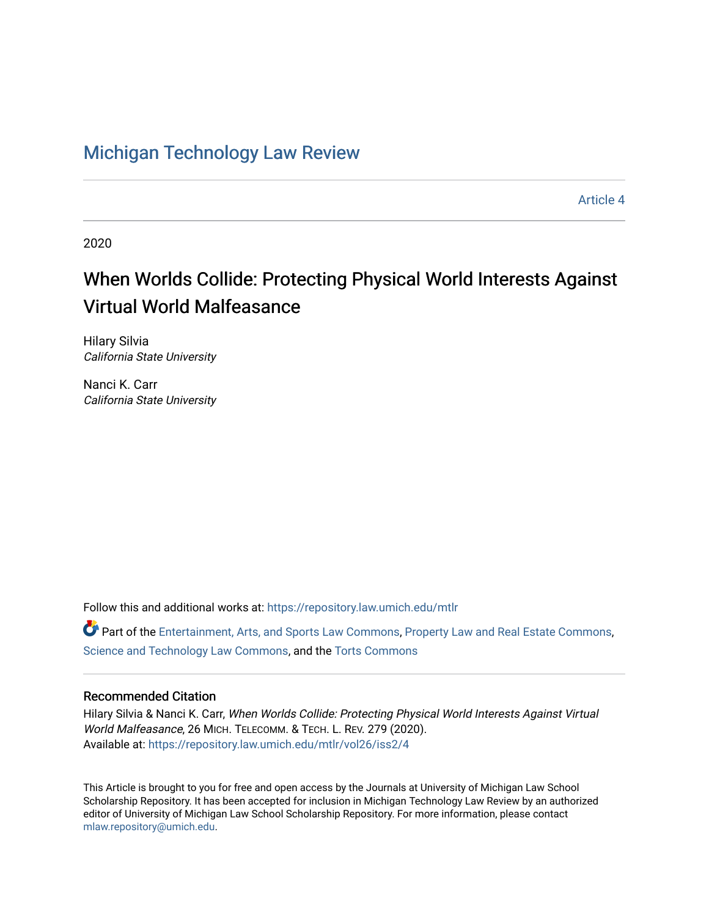# [Michigan Technology Law Review](https://repository.law.umich.edu/mtlr)

[Article 4](https://repository.law.umich.edu/mtlr/vol26/iss2/4) 

2020

# When Worlds Collide: Protecting Physical World Interests Against Virtual World Malfeasance

Hilary Silvia California State University

Nanci K. Carr California State University

Follow this and additional works at: [https://repository.law.umich.edu/mtlr](https://repository.law.umich.edu/mtlr?utm_source=repository.law.umich.edu%2Fmtlr%2Fvol26%2Fiss2%2F4&utm_medium=PDF&utm_campaign=PDFCoverPages) 

Part of the [Entertainment, Arts, and Sports Law Commons](http://network.bepress.com/hgg/discipline/893?utm_source=repository.law.umich.edu%2Fmtlr%2Fvol26%2Fiss2%2F4&utm_medium=PDF&utm_campaign=PDFCoverPages), [Property Law and Real Estate Commons](http://network.bepress.com/hgg/discipline/897?utm_source=repository.law.umich.edu%2Fmtlr%2Fvol26%2Fiss2%2F4&utm_medium=PDF&utm_campaign=PDFCoverPages), [Science and Technology Law Commons](http://network.bepress.com/hgg/discipline/875?utm_source=repository.law.umich.edu%2Fmtlr%2Fvol26%2Fiss2%2F4&utm_medium=PDF&utm_campaign=PDFCoverPages), and the [Torts Commons](http://network.bepress.com/hgg/discipline/913?utm_source=repository.law.umich.edu%2Fmtlr%2Fvol26%2Fiss2%2F4&utm_medium=PDF&utm_campaign=PDFCoverPages) 

### Recommended Citation

Hilary Silvia & Nanci K. Carr, When Worlds Collide: Protecting Physical World Interests Against Virtual World Malfeasance, 26 MICH. TELECOMM. & TECH. L. REV. 279 (2020). Available at: [https://repository.law.umich.edu/mtlr/vol26/iss2/4](https://repository.law.umich.edu/mtlr/vol26/iss2/4?utm_source=repository.law.umich.edu%2Fmtlr%2Fvol26%2Fiss2%2F4&utm_medium=PDF&utm_campaign=PDFCoverPages) 

This Article is brought to you for free and open access by the Journals at University of Michigan Law School Scholarship Repository. It has been accepted for inclusion in Michigan Technology Law Review by an authorized editor of University of Michigan Law School Scholarship Repository. For more information, please contact [mlaw.repository@umich.edu.](mailto:mlaw.repository@umich.edu)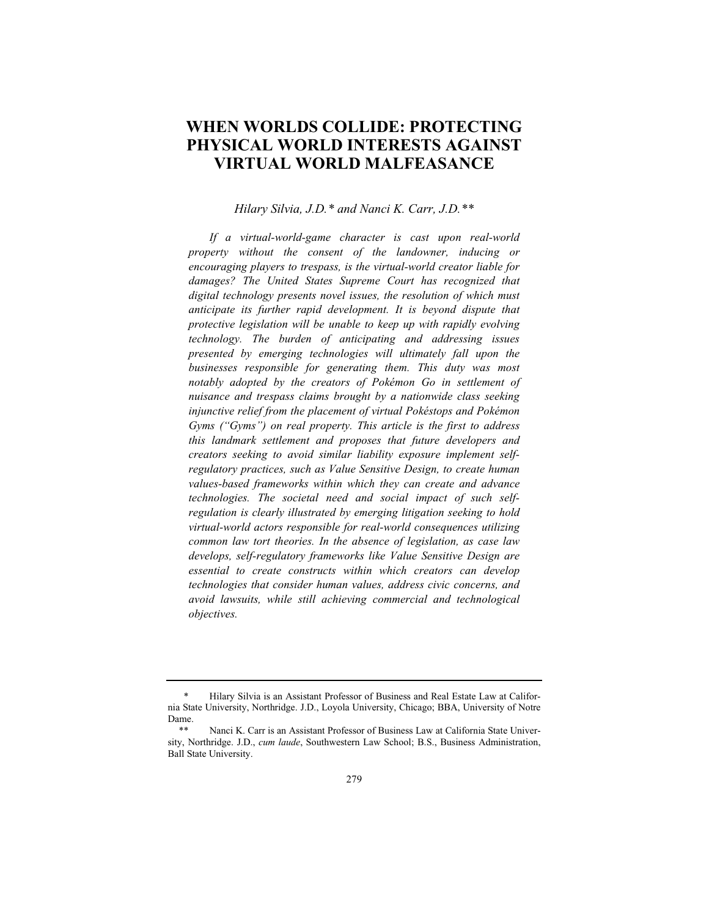# **WHEN WORLDS COLLIDE: PROTECTING PHYSICAL WORLD INTERESTS AGAINST VIRTUAL WORLD MALFEASANCE**

#### *Hilary Silvia, J.D.\* and Nanci K. Carr, J.D.\*\**

*If a virtual-world-game character is cast upon real-world property without the consent of the landowner, inducing or encouraging players to trespass, is the virtual-world creator liable for damages? The United States Supreme Court has recognized that digital technology presents novel issues, the resolution of which must anticipate its further rapid development. It is beyond dispute that protective legislation will be unable to keep up with rapidly evolving technology. The burden of anticipating and addressing issues presented by emerging technologies will ultimately fall upon the businesses responsible for generating them. This duty was most notably adopted by the creators of Pokémon Go in settlement of nuisance and trespass claims brought by a nationwide class seeking injunctive relief from the placement of virtual Pokéstops and Pokémon Gyms ("Gyms") on real property. This article is the first to address this landmark settlement and proposes that future developers and creators seeking to avoid similar liability exposure implement selfregulatory practices, such as Value Sensitive Design, to create human values-based frameworks within which they can create and advance technologies. The societal need and social impact of such selfregulation is clearly illustrated by emerging litigation seeking to hold virtual-world actors responsible for real-world consequences utilizing common law tort theories. In the absence of legislation, as case law develops, self-regulatory frameworks like Value Sensitive Design are essential to create constructs within which creators can develop technologies that consider human values, address civic concerns, and avoid lawsuits, while still achieving commercial and technological objectives.*

<sup>\*</sup> Hilary Silvia is an Assistant Professor of Business and Real Estate Law at California State University, Northridge. J.D., Loyola University, Chicago; BBA, University of Notre Dame.

Nanci K. Carr is an Assistant Professor of Business Law at California State University, Northridge. J.D., *cum laude*, Southwestern Law School; B.S., Business Administration, Ball State University.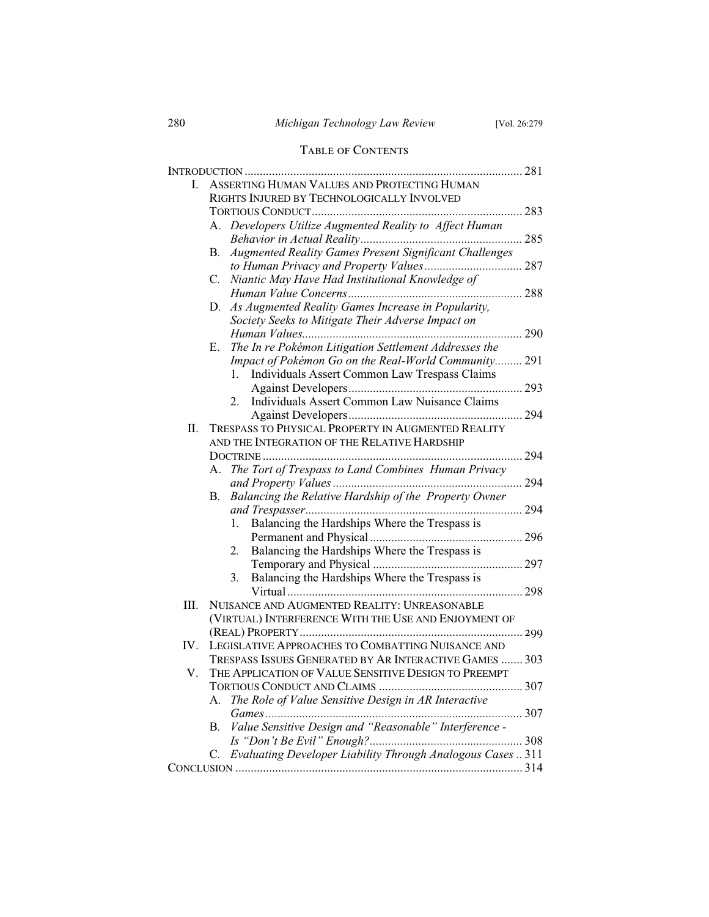## 280 *Michigan Technology Law Review* [Vol. 26:279

# Table of Contents

| L.  | ASSERTING HUMAN VALUES AND PROTECTING HUMAN            |                                                             |  |
|-----|--------------------------------------------------------|-------------------------------------------------------------|--|
|     | RIGHTS INJURED BY TECHNOLOGICALLY INVOLVED             |                                                             |  |
|     |                                                        |                                                             |  |
|     |                                                        | A. Developers Utilize Augmented Reality to Affect Human     |  |
|     |                                                        |                                                             |  |
|     | B.                                                     | Augmented Reality Games Present Significant Challenges      |  |
|     |                                                        |                                                             |  |
|     | C.                                                     | Niantic May Have Had Institutional Knowledge of             |  |
|     |                                                        |                                                             |  |
|     | D.                                                     | As Augmented Reality Games Increase in Popularity,          |  |
|     |                                                        | Society Seeks to Mitigate Their Adverse Impact on           |  |
|     |                                                        |                                                             |  |
|     |                                                        | E. The In re Pokémon Litigation Settlement Addresses the    |  |
|     |                                                        | Impact of Pokémon Go on the Real-World Community 291        |  |
|     |                                                        | Individuals Assert Common Law Trespass Claims<br>1.         |  |
|     |                                                        |                                                             |  |
|     |                                                        | Individuals Assert Common Law Nuisance Claims<br>2.         |  |
|     |                                                        |                                                             |  |
| Π.  |                                                        | TRESPASS TO PHYSICAL PROPERTY IN AUGMENTED REALITY          |  |
|     | AND THE INTEGRATION OF THE RELATIVE HARDSHIP           |                                                             |  |
|     |                                                        |                                                             |  |
|     | А.                                                     | The Tort of Trespass to Land Combines Human Privacy         |  |
|     |                                                        |                                                             |  |
|     | В.                                                     | Balancing the Relative Hardship of the Property Owner       |  |
|     |                                                        |                                                             |  |
|     |                                                        | Balancing the Hardships Where the Trespass is<br>1.         |  |
|     |                                                        |                                                             |  |
|     |                                                        | Balancing the Hardships Where the Trespass is<br>2.         |  |
|     |                                                        |                                                             |  |
|     |                                                        | Balancing the Hardships Where the Trespass is<br>3.         |  |
|     |                                                        |                                                             |  |
| Ш.  | NUISANCE AND AUGMENTED REALITY: UNREASONABLE           |                                                             |  |
|     |                                                        | (VIRTUAL) INTERFERENCE WITH THE USE AND ENJOYMENT OF        |  |
|     |                                                        |                                                             |  |
| IV. |                                                        | LEGISLATIVE APPROACHES TO COMBATTING NUISANCE AND           |  |
|     | TRESPASS ISSUES GENERATED BY AR INTERACTIVE GAMES  303 |                                                             |  |
| V.  | THE APPLICATION OF VALUE SENSITIVE DESIGN TO PREEMPT   |                                                             |  |
|     |                                                        |                                                             |  |
|     | A.                                                     | The Role of Value Sensitive Design in AR Interactive        |  |
|     |                                                        |                                                             |  |
|     | В.                                                     | Value Sensitive Design and "Reasonable" Interference -      |  |
|     |                                                        |                                                             |  |
|     | C.                                                     | Evaluating Developer Liability Through Analogous Cases  311 |  |
|     |                                                        |                                                             |  |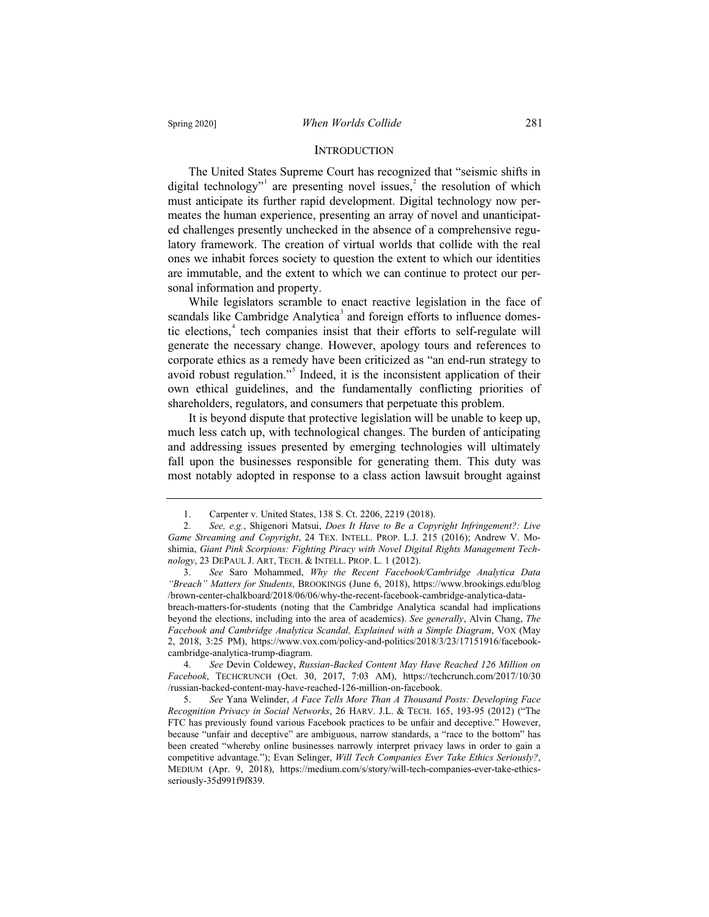#### **INTRODUCTION**

The United States Supreme Court has recognized that "seismic shifts in digital technology"<sup>1</sup> are presenting novel issues,<sup>2</sup> the resolution of which must anticipate its further rapid development. Digital technology now permeates the human experience, presenting an array of novel and unanticipated challenges presently unchecked in the absence of a comprehensive regulatory framework. The creation of virtual worlds that collide with the real ones we inhabit forces society to question the extent to which our identities are immutable, and the extent to which we can continue to protect our personal information and property.

While legislators scramble to enact reactive legislation in the face of scandals like Cambridge Analytica<sup>3</sup> and foreign efforts to influence domestic elections,<sup>4</sup> tech companies insist that their efforts to self-regulate will generate the necessary change. However, apology tours and references to corporate ethics as a remedy have been criticized as "an end-run strategy to avoid robust regulation."<sup>5</sup> Indeed, it is the inconsistent application of their own ethical guidelines, and the fundamentally conflicting priorities of shareholders, regulators, and consumers that perpetuate this problem.

It is beyond dispute that protective legislation will be unable to keep up, much less catch up, with technological changes. The burden of anticipating and addressing issues presented by emerging technologies will ultimately fall upon the businesses responsible for generating them. This duty was most notably adopted in response to a class action lawsuit brought against

breach-matters-for-students (noting that the Cambridge Analytica scandal had implications beyond the elections, including into the area of academics). *See generally*, Alvin Chang, *The Facebook and Cambridge Analytica Scandal, Explained with a Simple Diagram*, VOX (May 2, 2018, 3:25 PM), https://www.vox.com/policy-and-politics/2018/3/23/17151916/facebookcambridge-analytica-trump-diagram.

4. *See* Devin Coldewey, *Russian-Backed Content May Have Reached 126 Million on Facebook*, TECHCRUNCH (Oct. 30, 2017, 7:03 AM), https://techcrunch.com/2017/10/30 /russian-backed-content-may-have-reached-126-million-on-facebook.

5. *See* Yana Welinder, *A Face Tells More Than A Thousand Posts: Developing Face Recognition Privacy in Social Networks*, 26 HARV. J.L. & TECH. 165, 193-95 (2012) ("The FTC has previously found various Facebook practices to be unfair and deceptive." However, because "unfair and deceptive" are ambiguous, narrow standards, a "race to the bottom" has been created "whereby online businesses narrowly interpret privacy laws in order to gain a competitive advantage."); Evan Selinger, *Will Tech Companies Ever Take Ethics Seriously?*, MEDIUM (Apr. 9, 2018), https://medium.com/s/story/will-tech-companies-ever-take-ethicsseriously-35d991f9f839.

<sup>1.</sup> Carpenter v. United States, 138 S. Ct. 2206, 2219 (2018).

<sup>2.</sup> *See, e.g.*, Shigenori Matsui, *Does It Have to Be a Copyright Infringement?: Live Game Streaming and Copyright*, 24 TEX. INTELL. PROP. L.J. 215 (2016); Andrew V. Moshimia, *Giant Pink Scorpions: Fighting Piracy with Novel Digital Rights Management Technology*, 23 DEPAUL J. ART, TECH.&INTELL. PROP. L. 1 (2012).

<sup>3.</sup> *See* Saro Mohammed, *Why the Recent Facebook/Cambridge Analytica Data "Breach" Matters for Students*, BROOKINGS (June 6, 2018), https://www.brookings.edu/blog /brown-center-chalkboard/2018/06/06/why-the-recent-facebook-cambridge-analytica-data-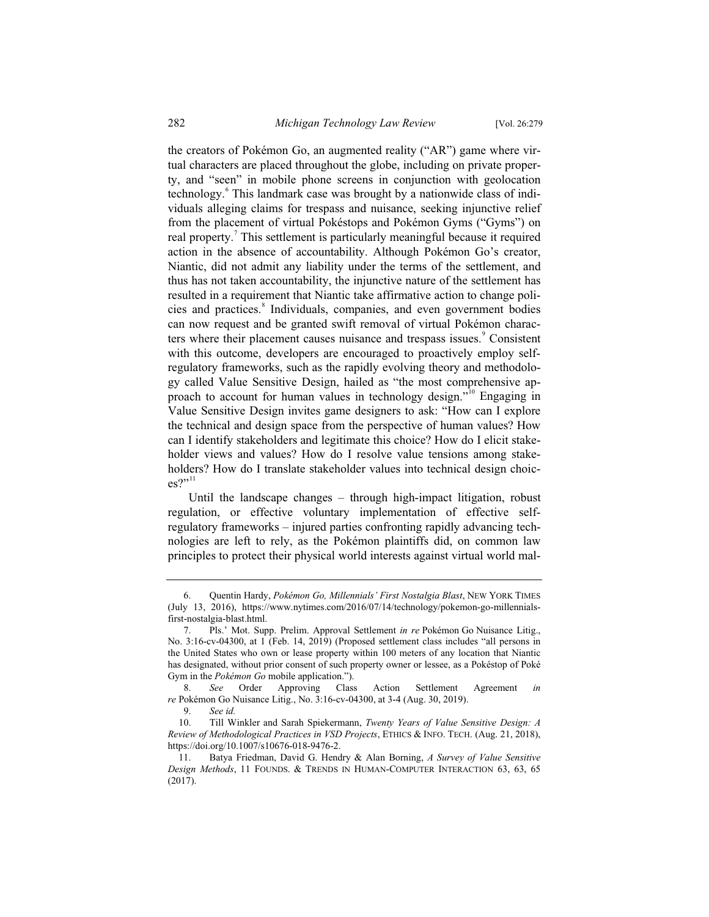the creators of Pokémon Go, an augmented reality ("AR") game where virtual characters are placed throughout the globe, including on private property, and "seen" in mobile phone screens in conjunction with geolocation technology.<sup>6</sup> This landmark case was brought by a nationwide class of individuals alleging claims for trespass and nuisance, seeking injunctive relief from the placement of virtual Pokéstops and Pokémon Gyms ("Gyms") on real property.<sup>7</sup> This settlement is particularly meaningful because it required action in the absence of accountability. Although Pokémon Go's creator, Niantic, did not admit any liability under the terms of the settlement, and thus has not taken accountability, the injunctive nature of the settlement has resulted in a requirement that Niantic take affirmative action to change policies and practices.<sup>8</sup> Individuals, companies, and even government bodies can now request and be granted swift removal of virtual Pokémon characters where their placement causes nuisance and trespass issues.<sup>9</sup> Consistent with this outcome, developers are encouraged to proactively employ selfregulatory frameworks, such as the rapidly evolving theory and methodology called Value Sensitive Design, hailed as "the most comprehensive approach to account for human values in technology design."<sup>10</sup> Engaging in Value Sensitive Design invites game designers to ask: "How can I explore the technical and design space from the perspective of human values? How can I identify stakeholders and legitimate this choice? How do I elicit stakeholder views and values? How do I resolve value tensions among stakeholders? How do I translate stakeholder values into technical design choices?"11

Until the landscape changes – through high-impact litigation, robust regulation, or effective voluntary implementation of effective selfregulatory frameworks – injured parties confronting rapidly advancing technologies are left to rely, as the Pokémon plaintiffs did, on common law principles to protect their physical world interests against virtual world mal-

<sup>6.</sup> Quentin Hardy, *Pokémon Go, Millennials' First Nostalgia Blast*, NEW YORK TIMES (July 13, 2016), https://www.nytimes.com/2016/07/14/technology/pokemon-go-millennialsfirst-nostalgia-blast.html.

<sup>7.</sup> Pls.' Mot. Supp. Prelim. Approval Settlement *in re* Pokémon Go Nuisance Litig., No. 3:16-cv-04300, at 1 (Feb. 14, 2019) (Proposed settlement class includes "all persons in the United States who own or lease property within 100 meters of any location that Niantic has designated, without prior consent of such property owner or lessee, as a Pokéstop of Poké Gym in the *Pokémon Go* mobile application.").

<sup>8.</sup> *See* Order Approving Class Action Settlement Agreement *in re* Pokémon Go Nuisance Litig., No. 3:16-cv-04300, at 3-4 (Aug. 30, 2019).

<sup>9.</sup> *See id.*

<sup>10.</sup> Till Winkler and Sarah Spiekermann, *Twenty Years of Value Sensitive Design: A Review of Methodological Practices in VSD Projects*, ETHICS & INFO. TECH. (Aug. 21, 2018), https://doi.org/10.1007/s10676-018-9476-2.

<sup>11.</sup> Batya Friedman, David G. Hendry & Alan Borning, *A Survey of Value Sensitive Design Methods*, 11 FOUNDS.&TRENDS IN HUMAN-COMPUTER INTERACTION 63, 63, 65 (2017).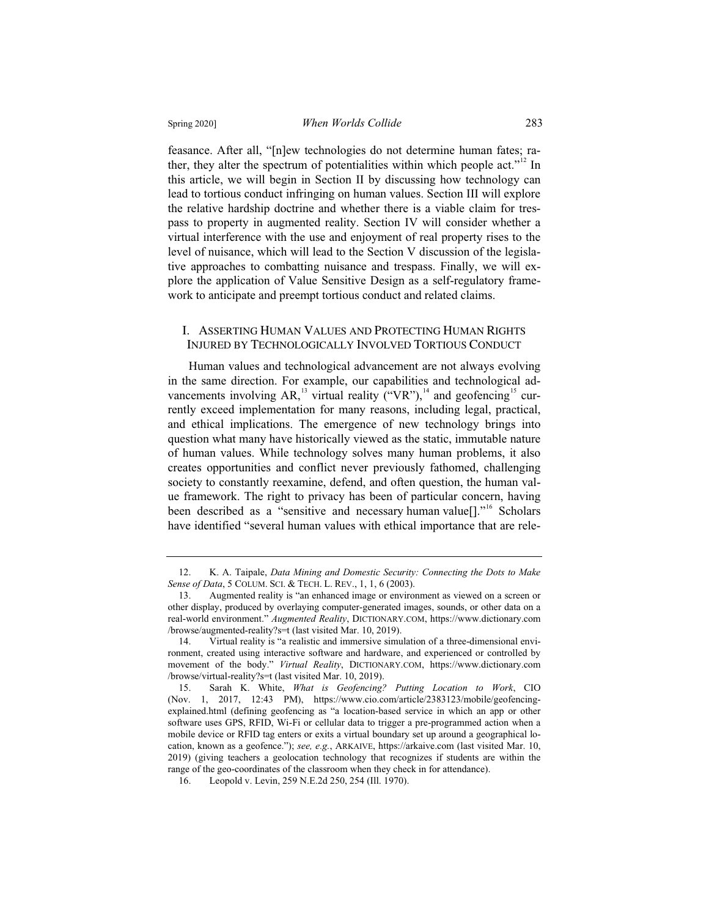feasance. After all, "[n]ew technologies do not determine human fates; rather, they alter the spectrum of potentialities within which people act."<sup>12</sup> In this article, we will begin in Section II by discussing how technology can lead to tortious conduct infringing on human values. Section III will explore the relative hardship doctrine and whether there is a viable claim for trespass to property in augmented reality. Section IV will consider whether a virtual interference with the use and enjoyment of real property rises to the level of nuisance, which will lead to the Section V discussion of the legislative approaches to combatting nuisance and trespass. Finally, we will explore the application of Value Sensitive Design as a self-regulatory framework to anticipate and preempt tortious conduct and related claims.

#### I. ASSERTING HUMAN VALUES AND PROTECTING HUMAN RIGHTS INJURED BY TECHNOLOGICALLY INVOLVED TORTIOUS CONDUCT

Human values and technological advancement are not always evolving in the same direction. For example, our capabilities and technological advancements involving AR,<sup>13</sup> virtual reality ("VR"),<sup>14</sup> and geofencing<sup>15</sup> currently exceed implementation for many reasons, including legal, practical, and ethical implications. The emergence of new technology brings into question what many have historically viewed as the static, immutable nature of human values. While technology solves many human problems, it also creates opportunities and conflict never previously fathomed, challenging society to constantly reexamine, defend, and often question, the human value framework. The right to privacy has been of particular concern, having been described as a "sensitive and necessary human value<sup>[]</sup>."<sup>16</sup> Scholars have identified "several human values with ethical importance that are rele-

<sup>12.</sup> K. A. Taipale, *Data Mining and Domestic Security: Connecting the Dots to Make Sense of Data*, 5 COLUM. SCI. & TECH. L. REV., 1, 1, 6 (2003).

<sup>13.</sup> Augmented reality is "an enhanced image or environment as viewed on a screen or other display, produced by overlaying computer-generated images, sounds, or other data on a real-world environment." *Augmented Reality*, DICTIONARY.COM, https://www.dictionary.com /browse/augmented-reality?s=t (last visited Mar. 10, 2019).

<sup>14.</sup> Virtual reality is "a realistic and immersive simulation of a three-dimensional environment, created using interactive software and hardware, and experienced or controlled by movement of the body." *Virtual Reality*, DICTIONARY.COM, https://www.dictionary.com /browse/virtual-reality?s=t (last visited Mar. 10, 2019).

<sup>15.</sup> Sarah K. White, *What is Geofencing? Putting Location to Work*, CIO (Nov. 1, 2017, 12:43 PM), https://www.cio.com/article/2383123/mobile/geofencingexplained.html (defining geofencing as "a location-based service in which an app or other software uses GPS, RFID, Wi-Fi or cellular data to trigger a pre-programmed action when a mobile device or RFID tag enters or exits a virtual boundary set up around a geographical location, known as a geofence."); *see, e.g.*, ARKAIVE, https://arkaive.com (last visited Mar. 10, 2019) (giving teachers a geolocation technology that recognizes if students are within the range of the geo-coordinates of the classroom when they check in for attendance).

<sup>16.</sup> Leopold v. Levin, 259 N.E.2d 250, 254 (Ill. 1970).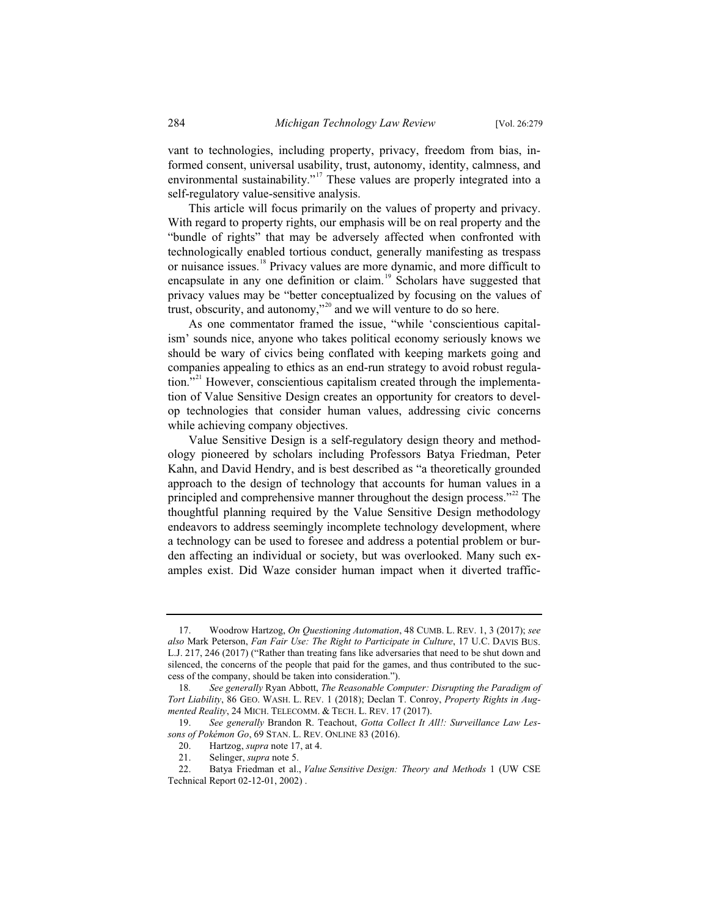vant to technologies, including property, privacy, freedom from bias, informed consent, universal usability, trust, autonomy, identity, calmness, and environmental sustainability."<sup>17</sup> These values are properly integrated into a self-regulatory value-sensitive analysis.

This article will focus primarily on the values of property and privacy. With regard to property rights, our emphasis will be on real property and the "bundle of rights" that may be adversely affected when confronted with technologically enabled tortious conduct, generally manifesting as trespass or nuisance issues.<sup>18</sup> Privacy values are more dynamic, and more difficult to encapsulate in any one definition or claim.<sup>19</sup> Scholars have suggested that privacy values may be "better conceptualized by focusing on the values of trust, obscurity, and autonomy,"<sup>20</sup> and we will venture to do so here.

As one commentator framed the issue, "while 'conscientious capitalism' sounds nice, anyone who takes political economy seriously knows we should be wary of civics being conflated with keeping markets going and companies appealing to ethics as an end-run strategy to avoid robust regulation."<sup>21</sup> However, conscientious capitalism created through the implementation of Value Sensitive Design creates an opportunity for creators to develop technologies that consider human values, addressing civic concerns while achieving company objectives.

Value Sensitive Design is a self-regulatory design theory and methodology pioneered by scholars including Professors Batya Friedman, Peter Kahn, and David Hendry, and is best described as "a theoretically grounded approach to the design of technology that accounts for human values in a principled and comprehensive manner throughout the design process."<sup>22</sup> The thoughtful planning required by the Value Sensitive Design methodology endeavors to address seemingly incomplete technology development, where a technology can be used to foresee and address a potential problem or burden affecting an individual or society, but was overlooked. Many such examples exist. Did Waze consider human impact when it diverted traffic-

<sup>17.</sup> Woodrow Hartzog, *On Questioning Automation*, 48 CUMB. L. REV. 1, 3 (2017); *see also* Mark Peterson, *Fan Fair Use: The Right to Participate in Culture*, 17 U.C. DAVIS BUS. L.J. 217, 246 (2017) ("Rather than treating fans like adversaries that need to be shut down and silenced, the concerns of the people that paid for the games, and thus contributed to the success of the company, should be taken into consideration.").

<sup>18</sup>*. See generally* Ryan Abbott, *The Reasonable Computer: Disrupting the Paradigm of Tort Liability*, 86 GEO. WASH. L. REV. 1 (2018); Declan T. Conroy, *Property Rights in Augmented Reality*, 24 MICH. TELECOMM.&TECH. L. REV. 17 (2017).

<sup>19.</sup> *See generally* Brandon R. Teachout, *Gotta Collect It All!: Surveillance Law Lessons of Pokémon Go*, 69 STAN. L. REV. ONLINE 83 (2016).

<sup>20.</sup> Hartzog, *supra* note 17, at 4.

<sup>21.</sup> Selinger, *supra* note 5.

<sup>22.</sup> Batya Friedman et al., *Value Sensitive Design: Theory and Methods* 1 (UW CSE Technical Report 02-12-01, 2002) .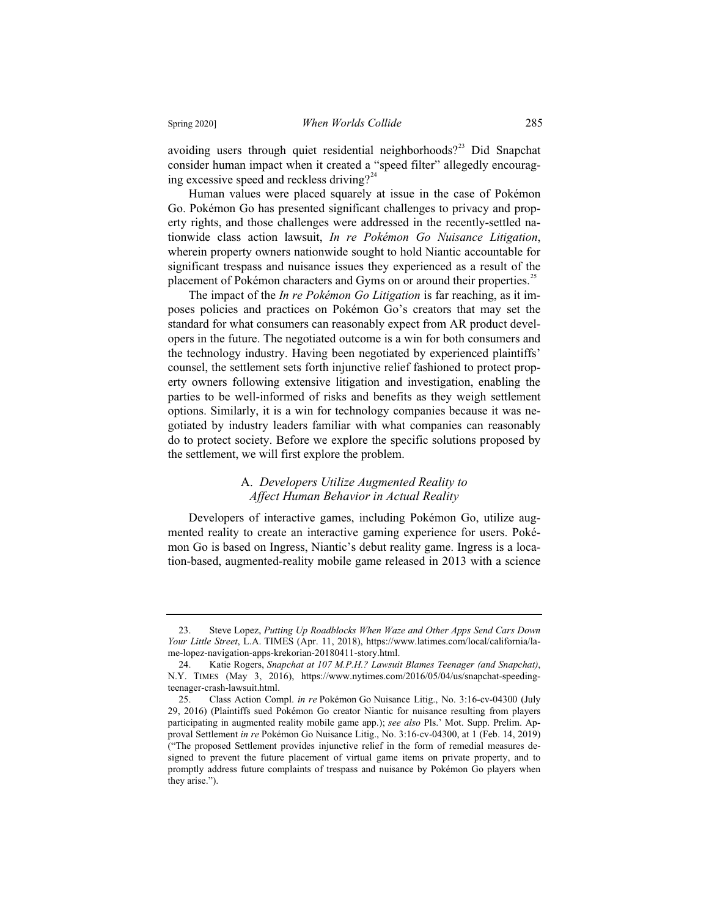avoiding users through quiet residential neighborhoods?<sup>23</sup> Did Snapchat consider human impact when it created a "speed filter" allegedly encouraging excessive speed and reckless driving?<sup>24</sup>

Human values were placed squarely at issue in the case of Pokémon Go. Pokémon Go has presented significant challenges to privacy and property rights, and those challenges were addressed in the recently-settled nationwide class action lawsuit, *In re Pokémon Go Nuisance Litigation*, wherein property owners nationwide sought to hold Niantic accountable for significant trespass and nuisance issues they experienced as a result of the placement of Pokémon characters and Gyms on or around their properties.<sup>25</sup>

The impact of the *In re Pokémon Go Litigation* is far reaching, as it imposes policies and practices on Pokémon Go's creators that may set the standard for what consumers can reasonably expect from AR product developers in the future. The negotiated outcome is a win for both consumers and the technology industry. Having been negotiated by experienced plaintiffs' counsel, the settlement sets forth injunctive relief fashioned to protect property owners following extensive litigation and investigation, enabling the parties to be well-informed of risks and benefits as they weigh settlement options. Similarly, it is a win for technology companies because it was negotiated by industry leaders familiar with what companies can reasonably do to protect society. Before we explore the specific solutions proposed by the settlement, we will first explore the problem.

#### A. *Developers Utilize Augmented Reality to Affect Human Behavior in Actual Reality*

Developers of interactive games, including Pokémon Go, utilize augmented reality to create an interactive gaming experience for users. Pokémon Go is based on Ingress, Niantic's debut reality game. Ingress is a location-based, augmented-reality mobile game released in 2013 with a science

<sup>23.</sup> Steve Lopez, *Putting Up Roadblocks When Waze and Other Apps Send Cars Down Your Little Street*, L.A. TIMES (Apr. 11, 2018), https://www.latimes.com/local/california/lame-lopez-navigation-apps-krekorian-20180411-story.html.

<sup>24.</sup> Katie Rogers, *Snapchat at 107 M.P.H.? Lawsuit Blames Teenager (and Snapchat)*, N.Y. TIMES (May 3, 2016), https://www.nytimes.com/2016/05/04/us/snapchat-speedingteenager-crash-lawsuit.html.<br>25. Class Action Con

<sup>25.</sup> Class Action Compl. *in re* Pokémon Go Nuisance Litig., No. 3:16-cv-04300 (July 29, 2016) (Plaintiffs sued Pokémon Go creator Niantic for nuisance resulting from players participating in augmented reality mobile game app.); *see also* Pls.' Mot. Supp. Prelim. Approval Settlement *in re* Pokémon Go Nuisance Litig., No. 3:16-cv-04300, at 1 (Feb. 14, 2019) ("The proposed Settlement provides injunctive relief in the form of remedial measures designed to prevent the future placement of virtual game items on private property, and to promptly address future complaints of trespass and nuisance by Pokémon Go players when they arise.").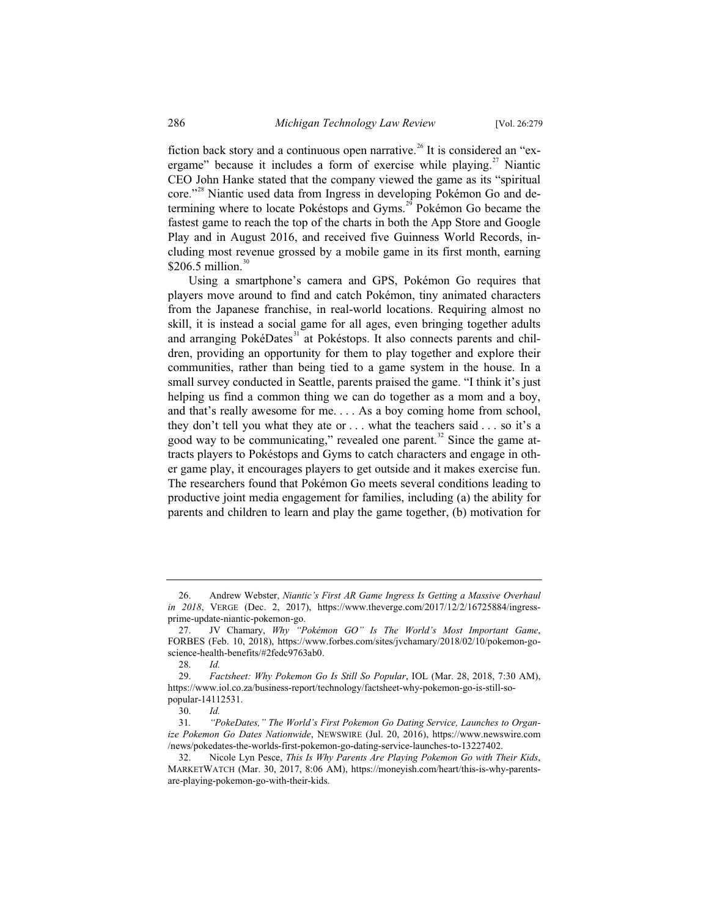fiction back story and a continuous open narrative.<sup>26</sup> It is considered an "exergame" because it includes a form of exercise while playing.<sup>27</sup> Niantic CEO John Hanke stated that the company viewed the game as its "spiritual core."<sup>28</sup> Niantic used data from Ingress in developing Pokémon Go and determining where to locate Pokéstops and Gyms.<sup>29</sup> Pokémon Go became the fastest game to reach the top of the charts in both the App Store and Google Play and in August 2016, and received five Guinness World Records, including most revenue grossed by a mobile game in its first month, earning \$206.5 million. $30$ 

Using a smartphone's camera and GPS, Pokémon Go requires that players move around to find and catch Pokémon, tiny animated characters from the Japanese franchise, in real-world locations. Requiring almost no skill, it is instead a social game for all ages, even bringing together adults and arranging PokéDates<sup>31</sup> at Pokéstops. It also connects parents and children, providing an opportunity for them to play together and explore their communities, rather than being tied to a game system in the house. In a small survey conducted in Seattle, parents praised the game. "I think it's just helping us find a common thing we can do together as a mom and a boy, and that's really awesome for me. . . . As a boy coming home from school, they don't tell you what they ate or . . . what the teachers said . . . so it's a good way to be communicating," revealed one parent.<sup>32</sup> Since the game attracts players to Pokéstops and Gyms to catch characters and engage in other game play, it encourages players to get outside and it makes exercise fun. The researchers found that Pokémon Go meets several conditions leading to productive joint media engagement for families, including (a) the ability for parents and children to learn and play the game together, (b) motivation for

<sup>26.</sup> Andrew Webster, *Niantic's First AR Game Ingress Is Getting a Massive Overhaul in 2018*, VERGE (Dec. 2, 2017), https://www.theverge.com/2017/12/2/16725884/ingressprime-update-niantic-pokemon-go.

<sup>27.</sup> JV Chamary, *Why "Pokémon GO" Is The World's Most Important Game*, FORBES (Feb. 10, 2018), https://www.forbes.com/sites/jvchamary/2018/02/10/pokemon-goscience-health-benefits/#2fedc9763ab0.

<sup>28.</sup> *Id.*

<sup>29.</sup> *Factsheet: Why Pokemon Go Is Still So Popular*, IOL (Mar. 28, 2018, 7:30 AM), https://www.iol.co.za/business-report/technology/factsheet-why-pokemon-go-is-still-sopopular-14112531.

<sup>30.</sup> *Id.*

<sup>31</sup>*. "PokeDates," The World's First Pokemon Go Dating Service, Launches to Organize Pokemon Go Dates Nationwide*, NEWSWIRE (Jul. 20, 2016), https://www.newswire.com /news/pokedates-the-worlds-first-pokemon-go-dating-service-launches-to-13227402.

<sup>32.</sup> Nicole Lyn Pesce, *This Is Why Parents Are Playing Pokemon Go with Their Kids*, MARKETWATCH (Mar. 30, 2017, 8:06 AM), https://moneyish.com/heart/this-is-why-parentsare-playing-pokemon-go-with-their-kids.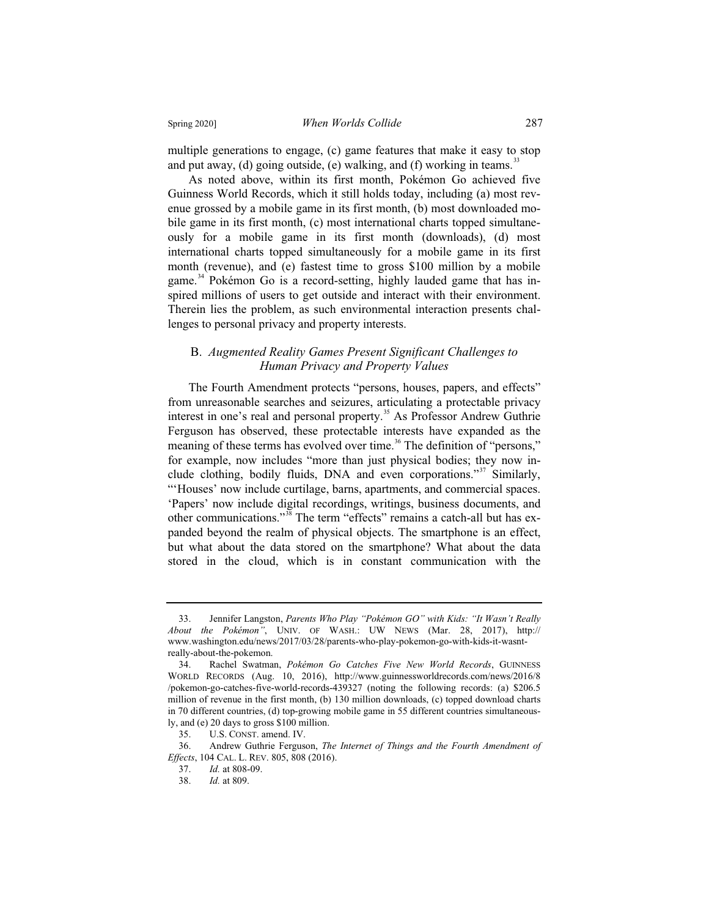multiple generations to engage, (c) game features that make it easy to stop and put away, (d) going outside, (e) walking, and (f) working in teams.<sup>33</sup>

As noted above, within its first month, Pokémon Go achieved five Guinness World Records, which it still holds today, including (a) most revenue grossed by a mobile game in its first month, (b) most downloaded mobile game in its first month, (c) most international charts topped simultaneously for a mobile game in its first month (downloads), (d) most international charts topped simultaneously for a mobile game in its first month (revenue), and (e) fastest time to gross \$100 million by a mobile game.<sup>34</sup> Pokémon Go is a record-setting, highly lauded game that has inspired millions of users to get outside and interact with their environment. Therein lies the problem, as such environmental interaction presents challenges to personal privacy and property interests.

#### B. *Augmented Reality Games Present Significant Challenges to Human Privacy and Property Values*

The Fourth Amendment protects "persons, houses, papers, and effects" from unreasonable searches and seizures, articulating a protectable privacy interest in one's real and personal property.<sup>35</sup> As Professor Andrew Guthrie Ferguson has observed, these protectable interests have expanded as the meaning of these terms has evolved over time.<sup>36</sup> The definition of "persons," for example, now includes "more than just physical bodies; they now include clothing, bodily fluids, DNA and even corporations."<sup>37</sup> Similarly, "'Houses' now include curtilage, barns, apartments, and commercial spaces. 'Papers' now include digital recordings, writings, business documents, and other communications."<sup>38</sup> The term "effects" remains a catch-all but has expanded beyond the realm of physical objects. The smartphone is an effect, but what about the data stored on the smartphone? What about the data stored in the cloud, which is in constant communication with the

<sup>33.</sup> Jennifer Langston, *Parents Who Play "Pokémon GO" with Kids: "It Wasn't Really About the Pokémon"*, UNIV. OF WASH.: UW NEWS (Mar. 28, 2017), http:// www.washington.edu/news/2017/03/28/parents-who-play-pokemon-go-with-kids-it-wasnt-

really-about-the-pokemon.<br>34. Rachel Swatma 34. Rachel Swatman, *Pokémon Go Catches Five New World Records*, GUINNESS WORLD RECORDS (Aug. 10, 2016), http://www.guinnessworldrecords.com/news/2016/8 /pokemon-go-catches-five-world-records-439327 (noting the following records: (a) \$206.5 million of revenue in the first month, (b) 130 million downloads, (c) topped download charts in 70 different countries, (d) top-growing mobile game in 55 different countries simultaneously, and (e) 20 days to gross \$100 million.<br>35. U.S. CONST. amend. IV.

U.S. CONST. amend. IV.

<sup>36.</sup> Andrew Guthrie Ferguson, *The Internet of Things and the Fourth Amendment of Effects*, 104 CAL. L. REV. 805, 808 (2016).

<sup>37.</sup> *Id.* at 808-09.

<sup>38.</sup> *Id.* at 809.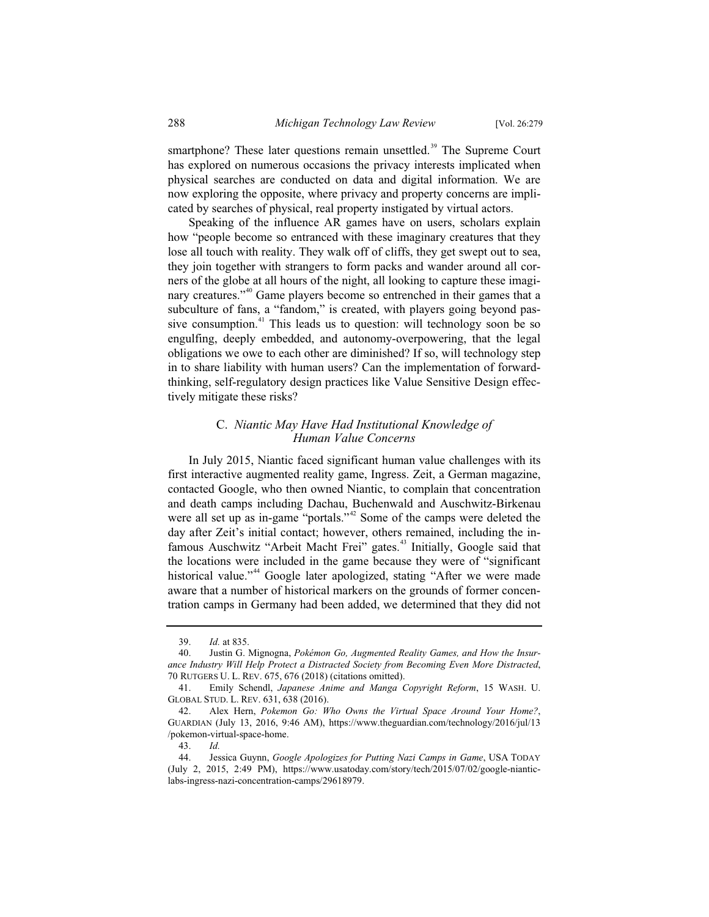smartphone? These later questions remain unsettled.<sup>39</sup> The Supreme Court has explored on numerous occasions the privacy interests implicated when physical searches are conducted on data and digital information. We are now exploring the opposite, where privacy and property concerns are implicated by searches of physical, real property instigated by virtual actors.

Speaking of the influence AR games have on users, scholars explain how "people become so entranced with these imaginary creatures that they lose all touch with reality. They walk off of cliffs, they get swept out to sea, they join together with strangers to form packs and wander around all corners of the globe at all hours of the night, all looking to capture these imaginary creatures."<sup>40</sup> Game players become so entrenched in their games that a subculture of fans, a "fandom," is created, with players going beyond passive consumption.<sup>41</sup> This leads us to question: will technology soon be so engulfing, deeply embedded, and autonomy-overpowering, that the legal obligations we owe to each other are diminished? If so, will technology step in to share liability with human users? Can the implementation of forwardthinking, self-regulatory design practices like Value Sensitive Design effectively mitigate these risks?

#### C. *Niantic May Have Had Institutional Knowledge of Human Value Concerns*

In July 2015, Niantic faced significant human value challenges with its first interactive augmented reality game, Ingress. Zeit, a German magazine, contacted Google, who then owned Niantic, to complain that concentration and death camps including Dachau, Buchenwald and Auschwitz-Birkenau were all set up as in-game "portals."<sup>42</sup> Some of the camps were deleted the day after Zeit's initial contact; however, others remained, including the infamous Auschwitz "Arbeit Macht Frei" gates.<sup>43</sup> Initially, Google said that the locations were included in the game because they were of "significant historical value."<sup>44</sup> Google later apologized, stating "After we were made aware that a number of historical markers on the grounds of former concentration camps in Germany had been added, we determined that they did not

<sup>39.</sup> *Id.* at 835.

<sup>40.</sup> Justin G. Mignogna, *Pokémon Go, Augmented Reality Games, and How the Insurance Industry Will Help Protect a Distracted Society from Becoming Even More Distracted*, 70 RUTGERS U. L. REV. 675, 676 (2018) (citations omitted).

<sup>41.</sup> Emily Schendl, *Japanese Anime and Manga Copyright Reform*, 15 WASH. U. GLOBAL STUD. L. REV. 631, 638 (2016).

<sup>42.</sup> Alex Hern, *Pokemon Go: Who Owns the Virtual Space Around Your Home?*, GUARDIAN (July 13, 2016, 9:46 AM), https://www.theguardian.com/technology/2016/jul/13 /pokemon-virtual-space-home.

<sup>43.</sup> *Id.*

<sup>44.</sup> Jessica Guynn, *Google Apologizes for Putting Nazi Camps in Game*, USA TODAY (July 2, 2015, 2:49 PM), https://www.usatoday.com/story/tech/2015/07/02/google-nianticlabs-ingress-nazi-concentration-camps/29618979.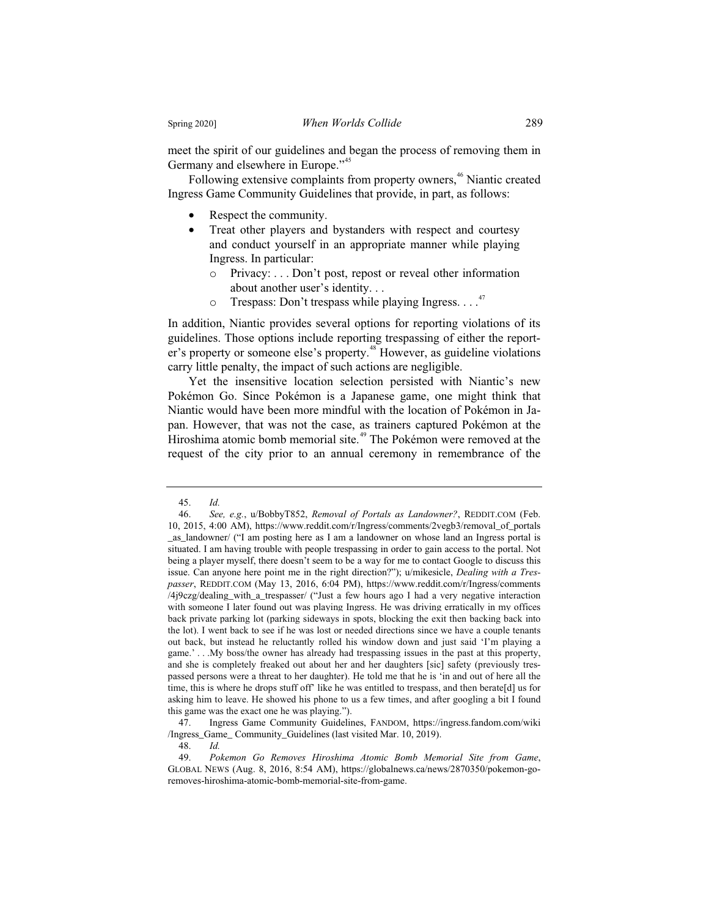meet the spirit of our guidelines and began the process of removing them in Germany and elsewhere in Europe."<sup>45</sup>

Following extensive complaints from property owners,<sup>46</sup> Niantic created Ingress Game Community Guidelines that provide, in part, as follows:

- Respect the community.
- Treat other players and bystanders with respect and courtesy and conduct yourself in an appropriate manner while playing Ingress. In particular:
	- o Privacy: . . . Don't post, repost or reveal other information about another user's identity. . .
	- $\circ$  Trespass: Don't trespass while playing Ingress. . . .<sup>47</sup>

In addition, Niantic provides several options for reporting violations of its guidelines. Those options include reporting trespassing of either the reporter's property or someone else's property.<sup>48</sup> However, as guideline violations carry little penalty, the impact of such actions are negligible.

Yet the insensitive location selection persisted with Niantic's new Pokémon Go. Since Pokémon is a Japanese game, one might think that Niantic would have been more mindful with the location of Pokémon in Japan. However, that was not the case, as trainers captured Pokémon at the Hiroshima atomic bomb memorial site.<sup>49</sup> The Pokémon were removed at the request of the city prior to an annual ceremony in remembrance of the

48. *Id.*

<sup>45.</sup> *Id.*

<sup>46.</sup> *See, e.g.*, u/BobbyT852, *Removal of Portals as Landowner?*, REDDIT.COM (Feb. 10, 2015, 4:00 AM), https://www.reddit.com/r/Ingress/comments/2vegb3/removal\_of\_portals \_as\_landowner/ ("I am posting here as I am a landowner on whose land an Ingress portal is situated. I am having trouble with people trespassing in order to gain access to the portal. Not being a player myself, there doesn't seem to be a way for me to contact Google to discuss this issue. Can anyone here point me in the right direction?"); u/mikesicle, *Dealing with a Trespasser*, REDDIT.COM (May 13, 2016, 6:04 PM), https://www.reddit.com/r/Ingress/comments /4j9czg/dealing\_with\_a\_trespasser/ ("Just a few hours ago I had a very negative interaction with someone I later found out was playing Ingress. He was driving erratically in my offices back private parking lot (parking sideways in spots, blocking the exit then backing back into the lot). I went back to see if he was lost or needed directions since we have a couple tenants out back, but instead he reluctantly rolled his window down and just said 'I'm playing a game.' . . .My boss/the owner has already had trespassing issues in the past at this property, and she is completely freaked out about her and her daughters [sic] safety (previously trespassed persons were a threat to her daughter). He told me that he is 'in and out of here all the time, this is where he drops stuff off' like he was entitled to trespass, and then berate[d] us for asking him to leave. He showed his phone to us a few times, and after googling a bit I found this game was the exact one he was playing.").

<sup>47.</sup> Ingress Game Community Guidelines, FANDOM, https://ingress.fandom.com/wiki /Ingress\_Game\_ Community\_Guidelines (last visited Mar. 10, 2019).

<sup>49.</sup> *Pokemon Go Removes Hiroshima Atomic Bomb Memorial Site from Game*, GLOBAL NEWS (Aug. 8, 2016, 8:54 AM), https://globalnews.ca/news/2870350/pokemon-goremoves-hiroshima-atomic-bomb-memorial-site-from-game.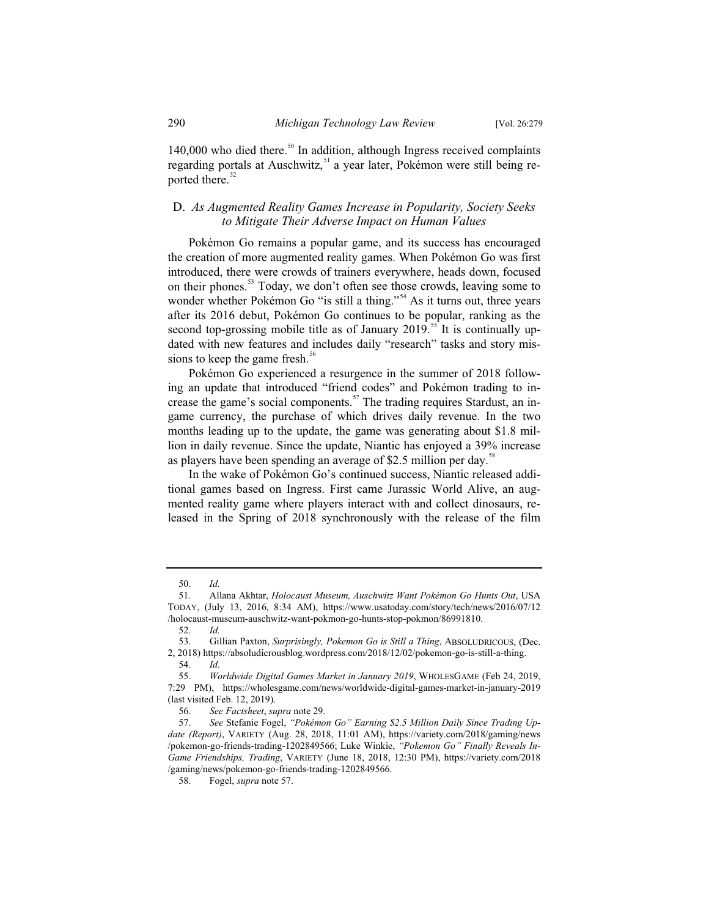140,000 who died there.<sup>50</sup> In addition, although Ingress received complaints regarding portals at Auschwitz,<sup>51</sup> a year later, Pokémon were still being reported there.<sup>52</sup>

#### D. *As Augmented Reality Games Increase in Popularity, Society Seeks to Mitigate Their Adverse Impact on Human Values*

Pokémon Go remains a popular game, and its success has encouraged the creation of more augmented reality games. When Pokémon Go was first introduced, there were crowds of trainers everywhere, heads down, focused on their phones.<sup>53</sup> Today, we don't often see those crowds, leaving some to wonder whether Pokémon Go "is still a thing."<sup>54</sup> As it turns out, three years after its 2016 debut, Pokémon Go continues to be popular, ranking as the second top-grossing mobile title as of January 2019.<sup>55</sup> It is continually updated with new features and includes daily "research" tasks and story missions to keep the game fresh. $56$ 

Pokémon Go experienced a resurgence in the summer of 2018 following an update that introduced "friend codes" and Pokémon trading to increase the game's social components.<sup>57</sup> The trading requires Stardust, an ingame currency, the purchase of which drives daily revenue. In the two months leading up to the update, the game was generating about \$1.8 million in daily revenue. Since the update, Niantic has enjoyed a 39% increase as players have been spending an average of \$2.5 million per day.<sup>58</sup>

In the wake of Pokémon Go's continued success, Niantic released additional games based on Ingress. First came Jurassic World Alive, an augmented reality game where players interact with and collect dinosaurs, released in the Spring of 2018 synchronously with the release of the film

<sup>50.</sup> *Id.*

<sup>51.</sup> Allana Akhtar, *Holocaust Museum, Auschwitz Want Pokémon Go Hunts Out*, USA TODAY, (July 13, 2016, 8:34 AM), https://www.usatoday.com/story/tech/news/2016/07/12 /holocaust-museum-auschwitz-want-pokmon-go-hunts-stop-pokmon/86991810.

<sup>52.</sup> *Id.*

<sup>53.</sup> Gillian Paxton, *Surprisingly, Pokemon Go is Still a Thing*, ABSOLUDRICOUS, (Dec. 2, 2018) https://absoludicrousblog.wordpress.com/2018/12/02/pokemon-go-is-still-a-thing.

<sup>54.</sup> *Id.*

<sup>55.</sup> *Worldwide Digital Games Market in January 2019*, WHOLESGAME (Feb 24, 2019, 7:29 PM), https://wholesgame.com/news/worldwide-digital-games-market-in-january-2019 (last visited Feb. 12, 2019).

<sup>56.</sup> *See Factsheet*, *supra* note 29.

<sup>57.</sup> *See* Stefanie Fogel, *"Pokémon Go" Earning \$2.5 Million Daily Since Trading Update (Report)*, VARIETY (Aug. 28, 2018, 11:01 AM), https://variety.com/2018/gaming/news /pokemon-go-friends-trading-1202849566; Luke Winkie, *"Pokemon Go" Finally Reveals In-Game Friendships, Trading*, VARIETY (June 18, 2018, 12:30 PM), https://variety.com/2018 /gaming/news/pokemon-go-friends-trading-1202849566.

<sup>58.</sup> Fogel, *supra* note 57.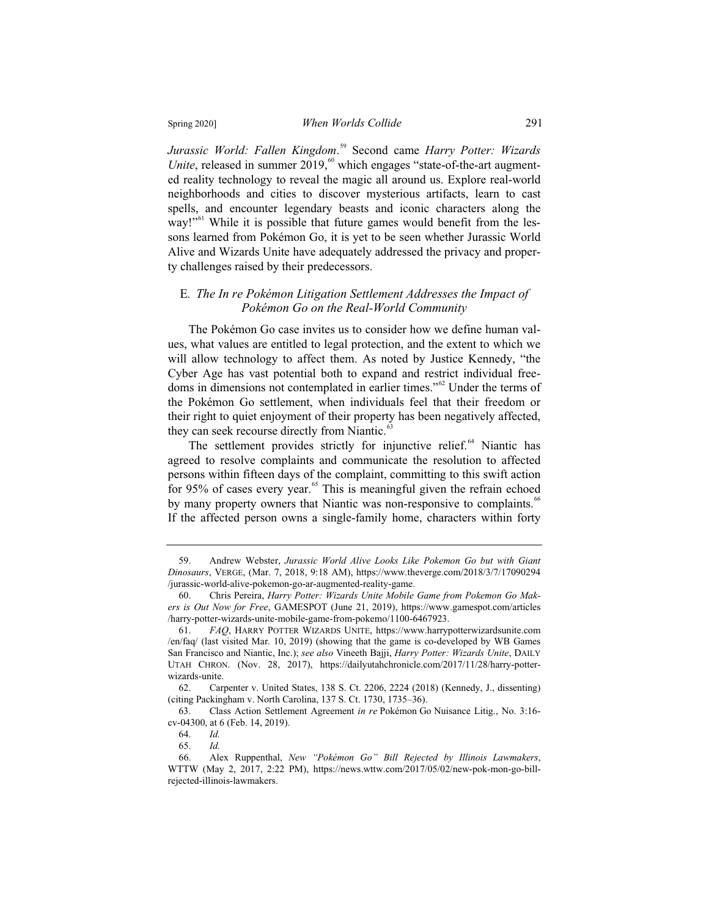*Jurassic World: Fallen Kingdom*. <sup>59</sup> Second came *Harry Potter: Wizards Unite*, released in summer 2019,<sup>60</sup> which engages "state-of-the-art augmented reality technology to reveal the magic all around us. Explore real-world neighborhoods and cities to discover mysterious artifacts, learn to cast spells, and encounter legendary beasts and iconic characters along the way!"<sup>61</sup> While it is possible that future games would benefit from the lessons learned from Pokémon Go, it is yet to be seen whether Jurassic World Alive and Wizards Unite have adequately addressed the privacy and property challenges raised by their predecessors.

#### E*. The In re Pokémon Litigation Settlement Addresses the Impact of Pokémon Go on the Real-World Community*

The Pokémon Go case invites us to consider how we define human values, what values are entitled to legal protection, and the extent to which we will allow technology to affect them. As noted by Justice Kennedy, "the Cyber Age has vast potential both to expand and restrict individual freedoms in dimensions not contemplated in earlier times."<sup>62</sup> Under the terms of the Pokémon Go settlement, when individuals feel that their freedom or their right to quiet enjoyment of their property has been negatively affected, they can seek recourse directly from Niantic.<sup>63</sup>

The settlement provides strictly for injunctive relief.<sup>64</sup> Niantic has agreed to resolve complaints and communicate the resolution to affected persons within fifteen days of the complaint, committing to this swift action for 95% of cases every year.<sup>65</sup> This is meaningful given the refrain echoed by many property owners that Niantic was non-responsive to complaints.<sup>66</sup> If the affected person owns a single-family home, characters within forty

<sup>59.</sup> Andrew Webster, *Jurassic World Alive Looks Like Pokemon Go but with Giant Dinosaurs*, VERGE, (Mar. 7, 2018, 9:18 AM), https://www.theverge.com/2018/3/7/17090294 /jurassic-world-alive-pokemon-go-ar-augmented-reality-game.

<sup>60.</sup> Chris Pereira, *Harry Potter: Wizards Unite Mobile Game from Pokemon Go Makers is Out Now for Free*, GAMESPOT (June 21, 2019), https://www.gamespot.com/articles /harry-potter-wizards-unite-mobile-game-from-pokemo/1100-6467923.

<sup>61.</sup> *FAQ*, HARRY POTTER WIZARDS UNITE, https://www.harrypotterwizardsunite.com /en/faq/ (last visited Mar. 10, 2019) (showing that the game is co-developed by WB Games San Francisco and Niantic, Inc.); *see also* Vineeth Bajji, *Harry Potter: Wizards Unite*, DAILY UTAH CHRON. (Nov. 28, 2017), https://dailyutahchronicle.com/2017/11/28/harry-potterwizards-unite.

<sup>62.</sup> Carpenter v. United States, 138 S. Ct. 2206, 2224 (2018) (Kennedy, J., dissenting) (citing Packingham v. North Carolina, 137 S. Ct. 1730, 1735–36).

<sup>63.</sup> Class Action Settlement Agreement *in re* Pokémon Go Nuisance Litig., No. 3:16 cv-04300, at 6 (Feb. 14, 2019).<br>64. Id.

<sup>64.</sup> *Id.*

<sup>65.</sup> *Id.*

<sup>66.</sup> Alex Ruppenthal, *New "Pokémon Go" Bill Rejected by Illinois Lawmakers*, WTTW (May 2, 2017, 2:22 PM), https://news.wttw.com/2017/05/02/new-pok-mon-go-billrejected-illinois-lawmakers.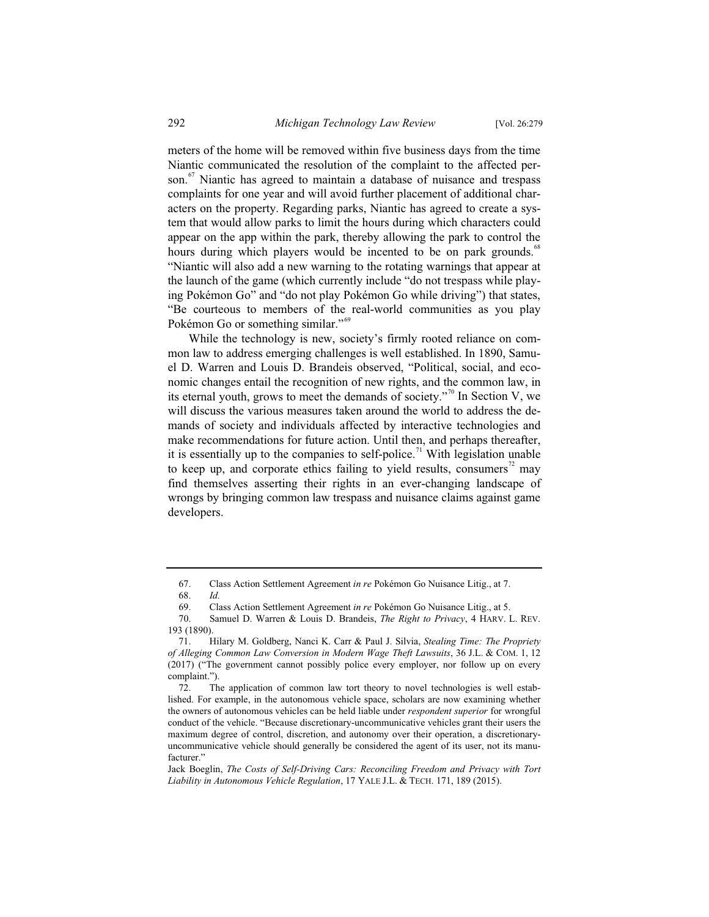meters of the home will be removed within five business days from the time Niantic communicated the resolution of the complaint to the affected person.<sup>67</sup> Niantic has agreed to maintain a database of nuisance and trespass complaints for one year and will avoid further placement of additional characters on the property. Regarding parks, Niantic has agreed to create a system that would allow parks to limit the hours during which characters could appear on the app within the park, thereby allowing the park to control the hours during which players would be incented to be on park grounds.<sup>88</sup> "Niantic will also add a new warning to the rotating warnings that appear at the launch of the game (which currently include "do not trespass while playing Pokémon Go" and "do not play Pokémon Go while driving") that states, "Be courteous to members of the real-world communities as you play Pokémon Go or something similar."<sup>69</sup>

While the technology is new, society's firmly rooted reliance on common law to address emerging challenges is well established. In 1890, Samuel D. Warren and Louis D. Brandeis observed, "Political, social, and economic changes entail the recognition of new rights, and the common law, in its eternal youth, grows to meet the demands of society."<sup>70</sup> In Section V, we will discuss the various measures taken around the world to address the demands of society and individuals affected by interactive technologies and make recommendations for future action. Until then, and perhaps thereafter, it is essentially up to the companies to self-police.<sup>71</sup> With legislation unable to keep up, and corporate ethics failing to yield results, consumers<sup> $72$ </sup> may find themselves asserting their rights in an ever-changing landscape of wrongs by bringing common law trespass and nuisance claims against game developers.

<sup>67.</sup> Class Action Settlement Agreement *in re* Pokémon Go Nuisance Litig., at 7. 68. *Id.*

<sup>69.</sup> Class Action Settlement Agreement *in re* Pokémon Go Nuisance Litig., at 5. Samuel D. Warren & Louis D. Brandeis, *The Right to Privacy*, 4 HARV. L. REV.

<sup>193 (1890).</sup>

<sup>71.</sup> Hilary M. Goldberg, Nanci K. Carr & Paul J. Silvia, *Stealing Time: The Propriety of Alleging Common Law Conversion in Modern Wage Theft Lawsuits*, 36 J.L. & COM. 1, 12 (2017) ("The government cannot possibly police every employer, nor follow up on every complaint.").

<sup>72.</sup> The application of common law tort theory to novel technologies is well established. For example, in the autonomous vehicle space, scholars are now examining whether the owners of autonomous vehicles can be held liable under *respondent superior* for wrongful conduct of the vehicle. "Because discretionary-uncommunicative vehicles grant their users the maximum degree of control, discretion, and autonomy over their operation, a discretionaryuncommunicative vehicle should generally be considered the agent of its user, not its manufacturer."

Jack Boeglin, *The Costs of Self-Driving Cars: Reconciling Freedom and Privacy with Tort Liability in Autonomous Vehicle Regulation*, 17 YALE J.L. & TECH. 171, 189 (2015).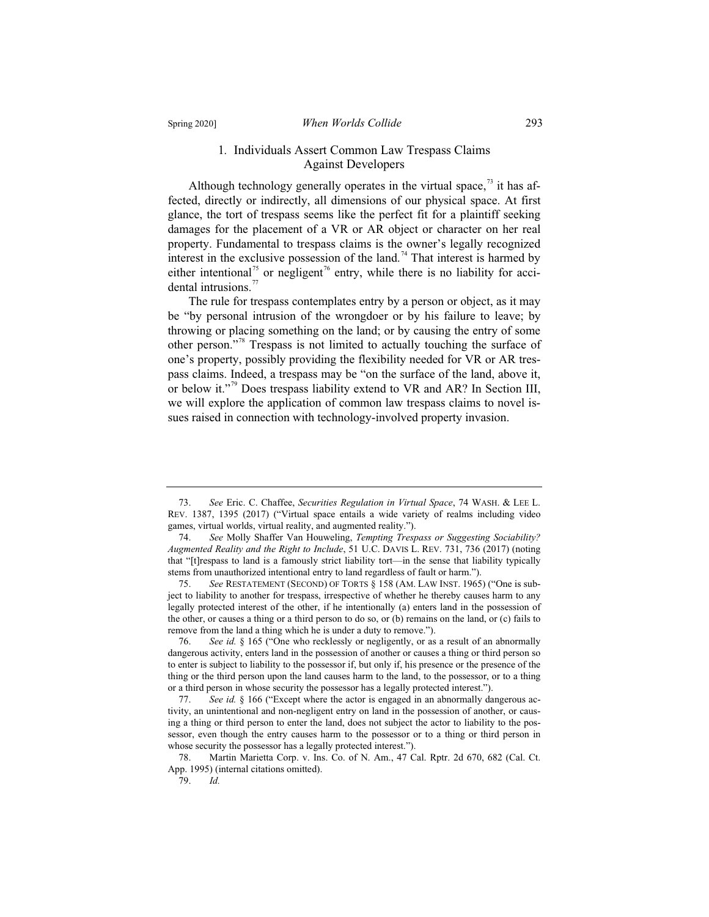#### Spring 2020] *When Worlds Collide* 293

#### 1*.* Individuals Assert Common Law Trespass Claims Against Developers

Although technology generally operates in the virtual space, $^{73}$  it has affected, directly or indirectly, all dimensions of our physical space. At first glance, the tort of trespass seems like the perfect fit for a plaintiff seeking damages for the placement of a VR or AR object or character on her real property. Fundamental to trespass claims is the owner's legally recognized interest in the exclusive possession of the land.<sup>74</sup> That interest is harmed by either intentional<sup>75</sup> or negligent<sup>76</sup> entry, while there is no liability for accidental intrusions.<sup>77</sup>

The rule for trespass contemplates entry by a person or object, as it may be "by personal intrusion of the wrongdoer or by his failure to leave; by throwing or placing something on the land; or by causing the entry of some other person."<sup>78</sup> Trespass is not limited to actually touching the surface of one's property, possibly providing the flexibility needed for VR or AR trespass claims. Indeed, a trespass may be "on the surface of the land, above it, or below it."<sup>79</sup> Does trespass liability extend to VR and AR? In Section III, we will explore the application of common law trespass claims to novel issues raised in connection with technology-involved property invasion.

<sup>73.</sup> *See* Eric. C. Chaffee, *Securities Regulation in Virtual Space*, 74 WASH.&LEE L. REV. 1387, 1395 (2017) ("Virtual space entails a wide variety of realms including video games, virtual worlds, virtual reality, and augmented reality.").

<sup>74.</sup> *See* Molly Shaffer Van Houweling, *Tempting Trespass or Suggesting Sociability? Augmented Reality and the Right to Include*, 51 U.C. DAVIS L. REV. 731, 736 (2017) (noting that "[t]respass to land is a famously strict liability tort—in the sense that liability typically stems from unauthorized intentional entry to land regardless of fault or harm.").

<sup>75.</sup> *See* RESTATEMENT (SECOND) OF TORTS § 158 (AM. LAW INST. 1965) ("One is subject to liability to another for trespass, irrespective of whether he thereby causes harm to any legally protected interest of the other, if he intentionally (a) enters land in the possession of the other, or causes a thing or a third person to do so, or (b) remains on the land, or (c) fails to remove from the land a thing which he is under a duty to remove.").

<sup>76.</sup> *See id.* § 165 ("One who recklessly or negligently, or as a result of an abnormally dangerous activity, enters land in the possession of another or causes a thing or third person so to enter is subject to liability to the possessor if, but only if, his presence or the presence of the thing or the third person upon the land causes harm to the land, to the possessor, or to a thing or a third person in whose security the possessor has a legally protected interest.").

<sup>77.</sup> *See id.* § 166 ("Except where the actor is engaged in an abnormally dangerous activity, an unintentional and non-negligent entry on land in the possession of another, or causing a thing or third person to enter the land, does not subject the actor to liability to the possessor, even though the entry causes harm to the possessor or to a thing or third person in whose security the possessor has a legally protected interest.").

<sup>78.</sup> Martin Marietta Corp. v. Ins. Co. of N. Am., 47 Cal. Rptr. 2d 670, 682 (Cal. Ct. App. 1995) (internal citations omitted).

<sup>79.</sup> *Id.*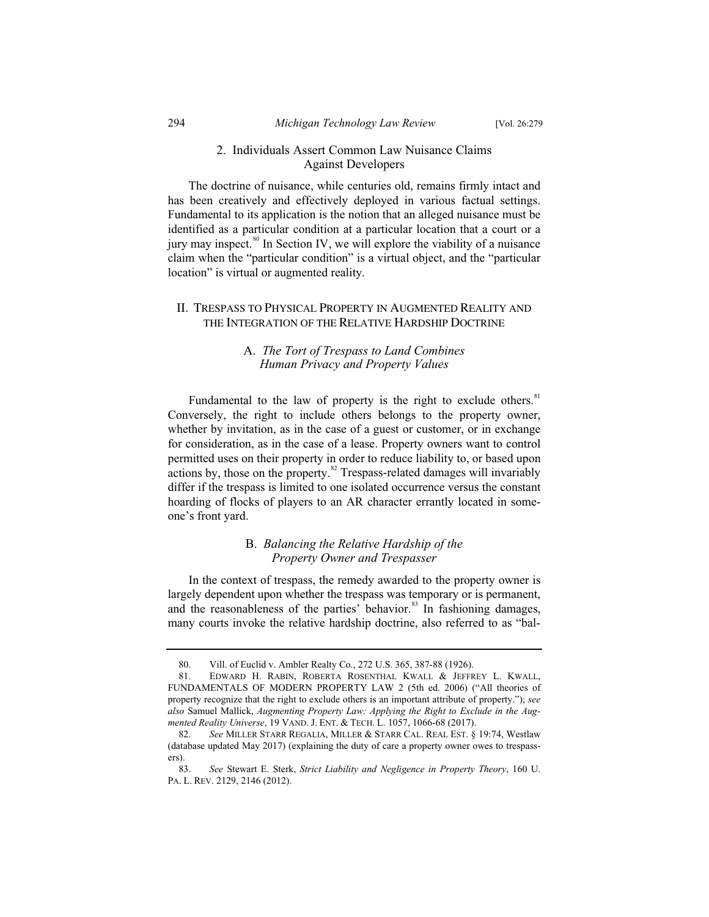#### 2. Individuals Assert Common Law Nuisance Claims Against Developers

The doctrine of nuisance, while centuries old, remains firmly intact and has been creatively and effectively deployed in various factual settings. Fundamental to its application is the notion that an alleged nuisance must be identified as a particular condition at a particular location that a court or a jury may inspect. $\frac{80}{3}$  In Section IV, we will explore the viability of a nuisance claim when the "particular condition" is a virtual object, and the "particular location" is virtual or augmented reality.

#### II. TRESPASS TO PHYSICAL PROPERTY IN AUGMENTED REALITY AND THE INTEGRATION OF THE RELATIVE HARDSHIP DOCTRINE

#### A. *The Tort of Trespass to Land Combines Human Privacy and Property Values*

Fundamental to the law of property is the right to exclude others.<sup>81</sup> Conversely, the right to include others belongs to the property owner, whether by invitation, as in the case of a guest or customer, or in exchange for consideration, as in the case of a lease. Property owners want to control permitted uses on their property in order to reduce liability to, or based upon actions by, those on the property.<sup>82</sup> Trespass-related damages will invariably differ if the trespass is limited to one isolated occurrence versus the constant hoarding of flocks of players to an AR character errantly located in someone's front yard.

#### B. *Balancing the Relative Hardship of the Property Owner and Trespasser*

In the context of trespass, the remedy awarded to the property owner is largely dependent upon whether the trespass was temporary or is permanent, and the reasonableness of the parties' behavior.<sup>83</sup> In fashioning damages, many courts invoke the relative hardship doctrine, also referred to as "bal-

<sup>80.</sup> Vill. of Euclid v. Ambler Realty Co., 272 U.S. 365, 387-88 (1926).

<sup>81.</sup> EDWARD H. RABIN, ROBERTA ROSENTHAL KWALL & JEFFREY L. KWALL, FUNDAMENTALS OF MODERN PROPERTY LAW 2 (5th ed. 2006) ("All theories of property recognize that the right to exclude others is an important attribute of property."); *see also* Samuel Mallick, *Augmenting Property Law: Applying the Right to Exclude in the Augmented Reality Universe*, 19 VAND. J. ENT.&TECH. L. 1057, 1066-68 (2017).

<sup>82.</sup> *See* MILLER STARR REGALIA, MILLER & STARR CAL. REAL EST. § 19:74, Westlaw (database updated May 2017) (explaining the duty of care a property owner owes to trespassers).<br> $83$ 

<sup>83.</sup> *See* Stewart E. Sterk, *Strict Liability and Negligence in Property Theory*, 160 U. PA. L. REV. 2129, 2146 (2012).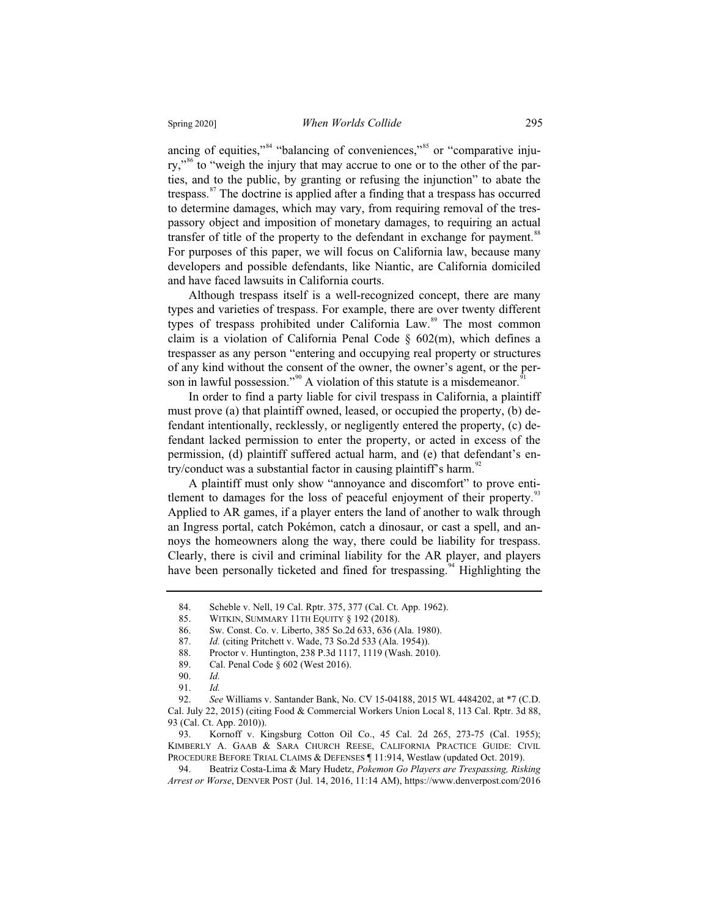ancing of equities," $s<sup>84</sup>$  "balancing of conveniences," $s<sup>85</sup>$  or "comparative injury,"<sup>86</sup> to "weigh the injury that may accrue to one or to the other of the parties, and to the public, by granting or refusing the injunction" to abate the trespass. $87$  The doctrine is applied after a finding that a trespass has occurred to determine damages, which may vary, from requiring removal of the trespassory object and imposition of monetary damages, to requiring an actual transfer of title of the property to the defendant in exchange for payment.<sup>88</sup> For purposes of this paper, we will focus on California law, because many developers and possible defendants, like Niantic, are California domiciled and have faced lawsuits in California courts.

Although trespass itself is a well-recognized concept, there are many types and varieties of trespass. For example, there are over twenty different types of trespass prohibited under California Law.<sup>89</sup> The most common claim is a violation of California Penal Code § 602(m), which defines a trespasser as any person "entering and occupying real property or structures of any kind without the consent of the owner, the owner's agent, or the person in lawful possession."<sup>90</sup> A violation of this statute is a misdemeanor.<sup>9</sup>

In order to find a party liable for civil trespass in California, a plaintiff must prove (a) that plaintiff owned, leased, or occupied the property, (b) defendant intentionally, recklessly, or negligently entered the property, (c) defendant lacked permission to enter the property, or acted in excess of the permission, (d) plaintiff suffered actual harm, and (e) that defendant's entry/conduct was a substantial factor in causing plaintiff's harm.<sup>92</sup>

A plaintiff must only show "annoyance and discomfort" to prove entitlement to damages for the loss of peaceful enjoyment of their property.<sup>93</sup> Applied to AR games, if a player enters the land of another to walk through an Ingress portal, catch Pokémon, catch a dinosaur, or cast a spell, and annoys the homeowners along the way, there could be liability for trespass. Clearly, there is civil and criminal liability for the AR player, and players have been personally ticketed and fined for trespassing.<sup>94</sup> Highlighting the

<sup>84.</sup> Scheble v. Nell, 19 Cal. Rptr. 375, 377 (Cal. Ct. App. 1962).<br>85. WITKIN, SUMMARY 11TH EQUITY § 192 (2018).

<sup>85.</sup> WITKIN, SUMMARY 11TH EQUITY § 192 (2018).<br>86. Sw. Const. Co. v. Liberto, 385 So.2d 633, 636 (A

<sup>86.</sup> Sw. Const. Co. v. Liberto, 385 So.2d 633, 636 (Ala. 1980).

<sup>87.</sup> *Id.* (citing Pritchett v. Wade, 73 So.2d 533 (Ala. 1954)).

<sup>88.</sup> Proctor v. Huntington, 238 P.3d 1117, 1119 (Wash. 2010).<br>89. Cal. Penal Code § 602 (West 2016).

Cal. Penal Code § 602 (West 2016).

<sup>90.</sup> *Id.*

<sup>91.</sup> *Id.*

<sup>92.</sup> *See* Williams v. Santander Bank, No. CV 15-04188, 2015 WL 4484202, at \*7 (C.D. Cal. July 22, 2015) (citing Food & Commercial Workers Union Local 8, 113 Cal. Rptr. 3d 88, 93 (Cal. Ct. App. 2010)).<br>93. Kornoff v. K

Kornoff v. Kingsburg Cotton Oil Co., 45 Cal. 2d 265, 273-75 (Cal. 1955); KIMBERLY A. GAAB & SARA CHURCH REESE, CALIFORNIA PRACTICE GUIDE: CIVIL PROCEDURE BEFORE TRIAL CLAIMS & DEFENSES ¶ 11:914, Westlaw (updated Oct. 2019).

<sup>94.</sup> Beatriz Costa-Lima & Mary Hudetz, *Pokemon Go Players are Trespassing, Risking Arrest or Worse*, DENVER POST (Jul. 14, 2016, 11:14 AM), https://www.denverpost.com/2016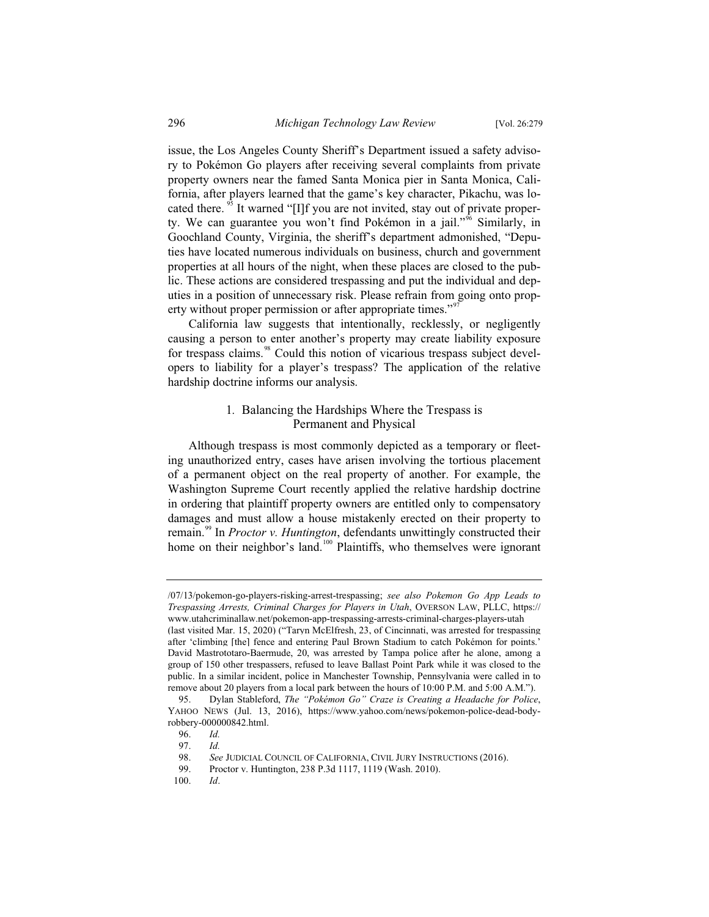issue, the Los Angeles County Sheriff's Department issued a safety advisory to Pokémon Go players after receiving several complaints from private property owners near the famed Santa Monica pier in Santa Monica, California, after players learned that the game's key character, Pikachu, was located there.<sup>35</sup> It warned "[I]f you are not invited, stay out of private property. We can guarantee you won't find Pokémon in a jail."<sup>96</sup> Similarly, in Goochland County, Virginia, the sheriff's department admonished, "Deputies have located numerous individuals on business, church and government properties at all hours of the night, when these places are closed to the public. These actions are considered trespassing and put the individual and deputies in a position of unnecessary risk. Please refrain from going onto property without proper permission or after appropriate times."<sup>97</sup>

California law suggests that intentionally, recklessly, or negligently causing a person to enter another's property may create liability exposure for trespass claims.<sup>98</sup> Could this notion of vicarious trespass subject developers to liability for a player's trespass? The application of the relative hardship doctrine informs our analysis.

#### 1*.* Balancing the Hardships Where the Trespass is Permanent and Physical

Although trespass is most commonly depicted as a temporary or fleeting unauthorized entry, cases have arisen involving the tortious placement of a permanent object on the real property of another. For example, the Washington Supreme Court recently applied the relative hardship doctrine in ordering that plaintiff property owners are entitled only to compensatory damages and must allow a house mistakenly erected on their property to remain.<sup>99</sup> In *Proctor v. Huntington*, defendants unwittingly constructed their home on their neighbor's land.<sup>100</sup> Plaintiffs, who themselves were ignorant

<sup>/07/13/</sup>pokemon-go-players-risking-arrest-trespassing; *see also Pokemon Go App Leads to Trespassing Arrests, Criminal Charges for Players in Utah*, OVERSON LAW, PLLC, https:// www.utahcriminallaw.net/pokemon-app-trespassing-arrests-criminal-charges-players-utah (last visited Mar. 15, 2020) ("Taryn McElfresh, 23, of Cincinnati, was arrested for trespassing after 'climbing [the] fence and entering Paul Brown Stadium to catch Pokémon for points.' David Mastrototaro-Baermude, 20, was arrested by Tampa police after he alone, among a

group of 150 other trespassers, refused to leave Ballast Point Park while it was closed to the public. In a similar incident, police in Manchester Township, Pennsylvania were called in to remove about 20 players from a local park between the hours of 10:00 P.M. and 5:00 A.M.").<br>95. Dylan Stableford, *The "Pokémon Go" Craze is Creating a Headache for Police* 95. Dylan Stableford, *The "Pokémon Go" Craze is Creating a Headache for Police*,

YAHOO NEWS (Jul. 13, 2016), https://www.yahoo.com/news/pokemon-police-dead-bodyrobbery-000000842.html.<br>96. Id.

<sup>96.</sup> *Id.*

<sup>97.</sup> *Id.*

<sup>98.</sup> *See* JUDICIAL COUNCIL OF CALIFORNIA, CIVIL JURY INSTRUCTIONS (2016).<br>99. Proctor v. Huntington. 238 P.3d 1117. 1119 (Wash. 2010).

<sup>99.</sup> Proctor v. Huntington, 238 P.3d 1117, 1119 (Wash. 2010).

<sup>100.</sup> *Id*.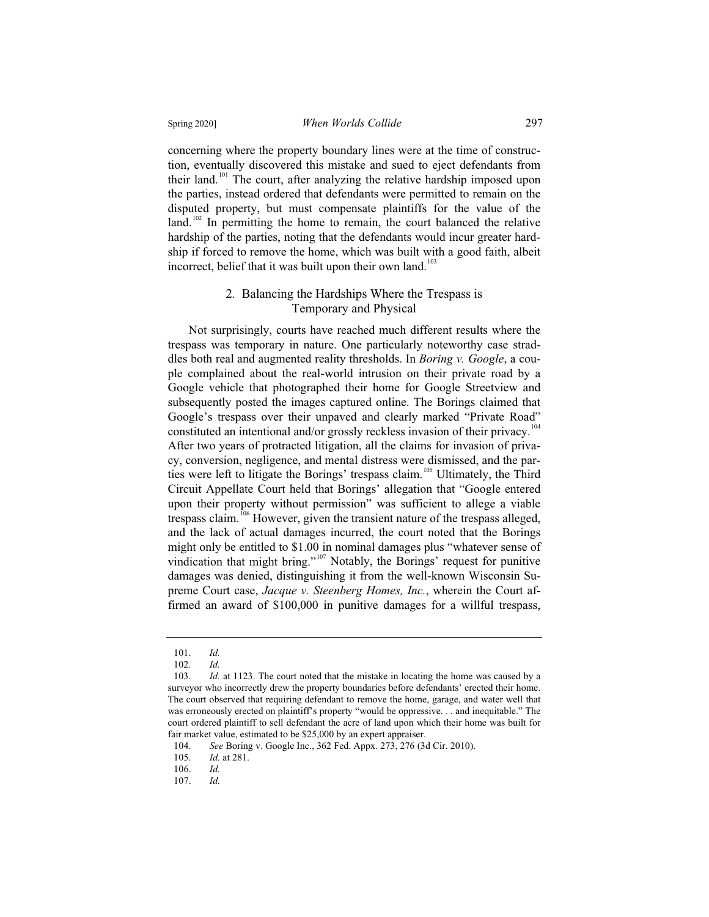concerning where the property boundary lines were at the time of construction, eventually discovered this mistake and sued to eject defendants from their land.<sup>101</sup> The court, after analyzing the relative hardship imposed upon the parties, instead ordered that defendants were permitted to remain on the disputed property, but must compensate plaintiffs for the value of the land.<sup>102</sup> In permitting the home to remain, the court balanced the relative hardship of the parties, noting that the defendants would incur greater hardship if forced to remove the home, which was built with a good faith, albeit incorrect, belief that it was built upon their own land.<sup>103</sup>

#### 2*.* Balancing the Hardships Where the Trespass is Temporary and Physical

Not surprisingly, courts have reached much different results where the trespass was temporary in nature. One particularly noteworthy case straddles both real and augmented reality thresholds. In *Boring v. Google*, a couple complained about the real-world intrusion on their private road by a Google vehicle that photographed their home for Google Streetview and subsequently posted the images captured online. The Borings claimed that Google's trespass over their unpaved and clearly marked "Private Road" constituted an intentional and/or grossly reckless invasion of their privacy.<sup>104</sup> After two years of protracted litigation, all the claims for invasion of privacy, conversion, negligence, and mental distress were dismissed, and the parties were left to litigate the Borings' trespass claim.<sup>105</sup> Ultimately, the Third Circuit Appellate Court held that Borings' allegation that "Google entered upon their property without permission" was sufficient to allege a viable trespass claim.<sup>106</sup> However, given the transient nature of the trespass alleged, and the lack of actual damages incurred, the court noted that the Borings might only be entitled to \$1.00 in nominal damages plus "whatever sense of vindication that might bring."<sup>107</sup> Notably, the Borings' request for punitive damages was denied, distinguishing it from the well-known Wisconsin Supreme Court case, *Jacque v. Steenberg Homes, Inc.*, wherein the Court affirmed an award of \$100,000 in punitive damages for a willful trespass,

<sup>101.</sup> *Id.*

<sup>102.</sup> *Id.*

<sup>103.</sup> *Id.* at 1123. The court noted that the mistake in locating the home was caused by a surveyor who incorrectly drew the property boundaries before defendants' erected their home. The court observed that requiring defendant to remove the home, garage, and water well that was erroneously erected on plaintiff's property "would be oppressive. . . and inequitable." The court ordered plaintiff to sell defendant the acre of land upon which their home was built for fair market value, estimated to be \$25,000 by an expert appraiser.

<sup>104.</sup> *See* Boring v. Google Inc., 362 Fed. Appx. 273, 276 (3d Cir. 2010).

<sup>105.</sup> *Id.* at 281.

<sup>106.</sup> *Id.*

<sup>107.</sup> *Id.*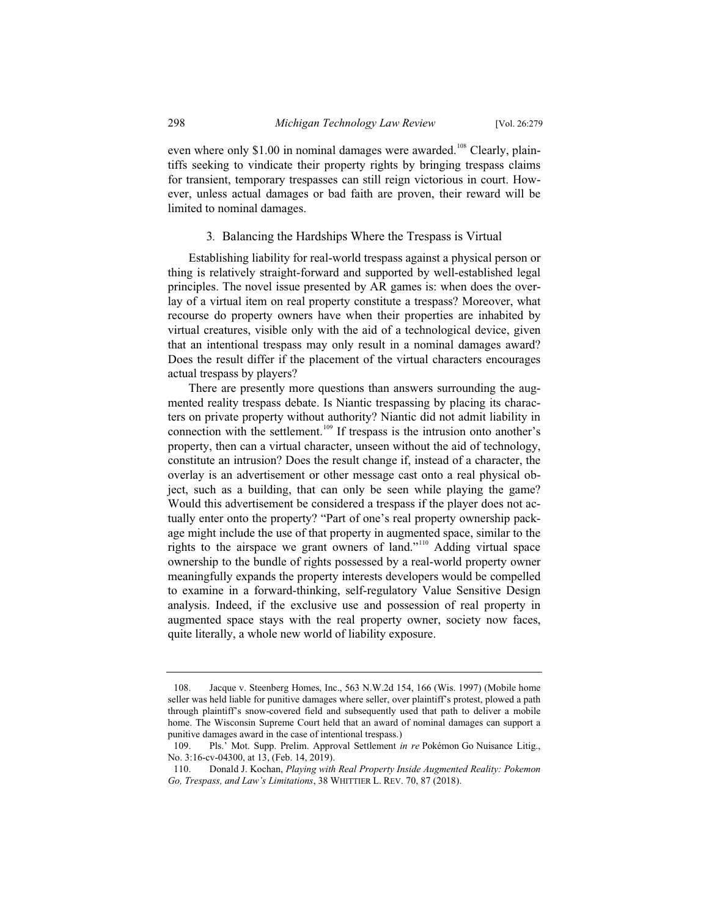even where only \$1.00 in nominal damages were awarded.<sup>108</sup> Clearly, plaintiffs seeking to vindicate their property rights by bringing trespass claims for transient, temporary trespasses can still reign victorious in court. However, unless actual damages or bad faith are proven, their reward will be limited to nominal damages.

#### 3*.* Balancing the Hardships Where the Trespass is Virtual

Establishing liability for real-world trespass against a physical person or thing is relatively straight-forward and supported by well-established legal principles. The novel issue presented by AR games is: when does the overlay of a virtual item on real property constitute a trespass? Moreover, what recourse do property owners have when their properties are inhabited by virtual creatures, visible only with the aid of a technological device, given that an intentional trespass may only result in a nominal damages award? Does the result differ if the placement of the virtual characters encourages actual trespass by players?

There are presently more questions than answers surrounding the augmented reality trespass debate. Is Niantic trespassing by placing its characters on private property without authority? Niantic did not admit liability in connection with the settlement.<sup>109</sup> If trespass is the intrusion onto another's property, then can a virtual character, unseen without the aid of technology, constitute an intrusion? Does the result change if, instead of a character, the overlay is an advertisement or other message cast onto a real physical object, such as a building, that can only be seen while playing the game? Would this advertisement be considered a trespass if the player does not actually enter onto the property? "Part of one's real property ownership package might include the use of that property in augmented space, similar to the rights to the airspace we grant owners of land."<sup>110</sup> Adding virtual space ownership to the bundle of rights possessed by a real-world property owner meaningfully expands the property interests developers would be compelled to examine in a forward-thinking, self-regulatory Value Sensitive Design analysis. Indeed, if the exclusive use and possession of real property in augmented space stays with the real property owner, society now faces, quite literally, a whole new world of liability exposure.

<sup>108.</sup> Jacque v. Steenberg Homes, Inc., 563 N.W.2d 154, 166 (Wis. 1997) (Mobile home seller was held liable for punitive damages where seller, over plaintiff's protest, plowed a path through plaintiff's snow-covered field and subsequently used that path to deliver a mobile home. The Wisconsin Supreme Court held that an award of nominal damages can support a punitive damages award in the case of intentional trespass.)

<sup>109.</sup> Pls.' Mot. Supp. Prelim. Approval Settlement *in re* Pokémon Go Nuisance Litig., No. 3:16-cv-04300, at 13, (Feb. 14, 2019).

<sup>110.</sup> Donald J. Kochan, *Playing with Real Property Inside Augmented Reality: Pokemon Go, Trespass, and Law's Limitations*, 38 WHITTIER L. REV. 70, 87 (2018).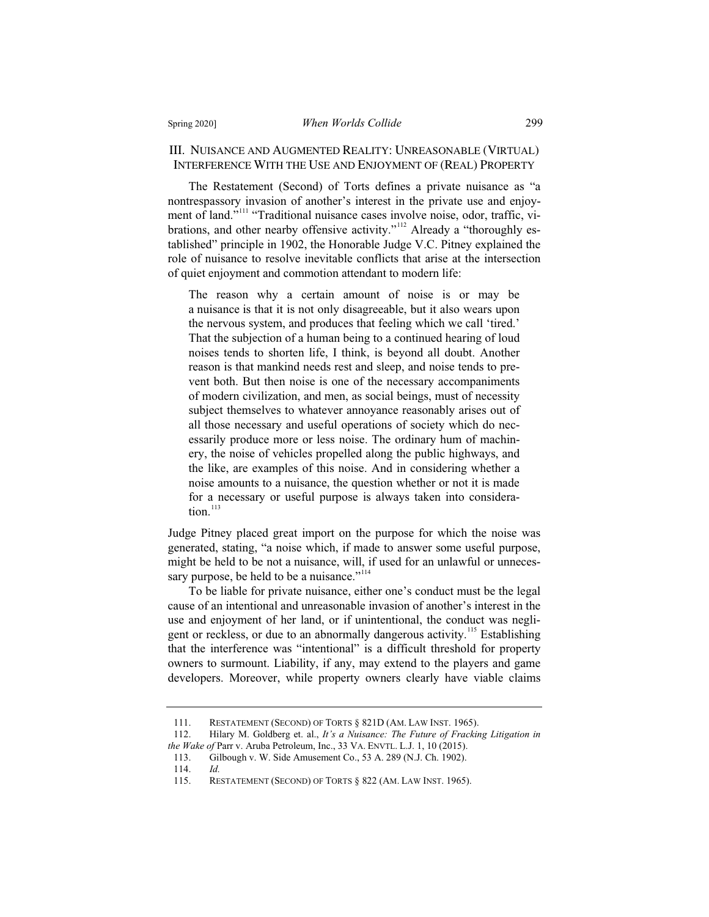#### III. NUISANCE AND AUGMENTED REALITY: UNREASONABLE (VIRTUAL) INTERFERENCE WITH THE USE AND ENJOYMENT OF (REAL) PROPERTY

The Restatement (Second) of Torts defines a private nuisance as "a nontrespassory invasion of another's interest in the private use and enjoyment of land."<sup>111</sup> "Traditional nuisance cases involve noise, odor, traffic, vibrations, and other nearby offensive activity."<sup>112</sup> Already a "thoroughly established" principle in 1902, the Honorable Judge V.C. Pitney explained the role of nuisance to resolve inevitable conflicts that arise at the intersection of quiet enjoyment and commotion attendant to modern life:

The reason why a certain amount of noise is or may be a nuisance is that it is not only disagreeable, but it also wears upon the nervous system, and produces that feeling which we call 'tired.' That the subjection of a human being to a continued hearing of loud noises tends to shorten life, I think, is beyond all doubt. Another reason is that mankind needs rest and sleep, and noise tends to prevent both. But then noise is one of the necessary accompaniments of modern civilization, and men, as social beings, must of necessity subject themselves to whatever annoyance reasonably arises out of all those necessary and useful operations of society which do necessarily produce more or less noise. The ordinary hum of machinery, the noise of vehicles propelled along the public highways, and the like, are examples of this noise. And in considering whether a noise amounts to a nuisance, the question whether or not it is made for a necessary or useful purpose is always taken into consideration. $113$ 

Judge Pitney placed great import on the purpose for which the noise was generated, stating, "a noise which, if made to answer some useful purpose, might be held to be not a nuisance, will, if used for an unlawful or unnecessary purpose, be held to be a nuisance."<sup>114</sup>

To be liable for private nuisance, either one's conduct must be the legal cause of an intentional and unreasonable invasion of another's interest in the use and enjoyment of her land, or if unintentional, the conduct was negligent or reckless, or due to an abnormally dangerous activity.<sup>115</sup> Establishing that the interference was "intentional" is a difficult threshold for property owners to surmount. Liability, if any, may extend to the players and game developers. Moreover, while property owners clearly have viable claims

<sup>111.</sup> RESTATEMENT (SECOND) OF TORTS § 821D (AM. LAW INST. 1965).<br>112. Hilary M. Goldberg et. al., It's a Nuisance: The Future of Frackin

<sup>112.</sup> Hilary M. Goldberg et. al., *It's a Nuisance: The Future of Fracking Litigation in the Wake of* Parr v. Aruba Petroleum, Inc., 33 VA. ENVTL. L.J. 1, 10 (2015).

<sup>113.</sup> Gilbough v. W. Side Amusement Co., 53 A. 289 (N.J. Ch. 1902).

<sup>114.</sup> *Id.*

<sup>115.</sup> RESTATEMENT (SECOND) OF TORTS § 822 (AM. LAW INST. 1965).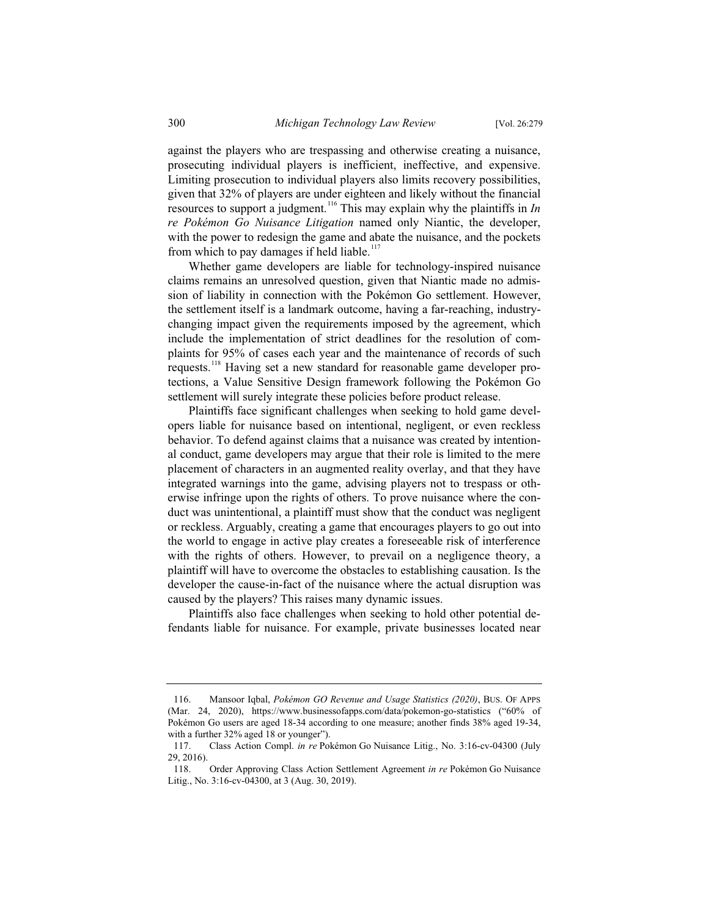against the players who are trespassing and otherwise creating a nuisance, prosecuting individual players is inefficient, ineffective, and expensive. Limiting prosecution to individual players also limits recovery possibilities, given that 32% of players are under eighteen and likely without the financial resources to support a judgment.<sup>116</sup> This may explain why the plaintiffs in *In re Pokémon Go Nuisance Litigation* named only Niantic, the developer, with the power to redesign the game and abate the nuisance, and the pockets from which to pay damages if held liable.<sup>117</sup>

Whether game developers are liable for technology-inspired nuisance claims remains an unresolved question, given that Niantic made no admission of liability in connection with the Pokémon Go settlement. However, the settlement itself is a landmark outcome, having a far-reaching, industrychanging impact given the requirements imposed by the agreement, which include the implementation of strict deadlines for the resolution of complaints for 95% of cases each year and the maintenance of records of such requests.<sup>118</sup> Having set a new standard for reasonable game developer protections, a Value Sensitive Design framework following the Pokémon Go settlement will surely integrate these policies before product release.

Plaintiffs face significant challenges when seeking to hold game developers liable for nuisance based on intentional, negligent, or even reckless behavior. To defend against claims that a nuisance was created by intentional conduct, game developers may argue that their role is limited to the mere placement of characters in an augmented reality overlay, and that they have integrated warnings into the game, advising players not to trespass or otherwise infringe upon the rights of others. To prove nuisance where the conduct was unintentional, a plaintiff must show that the conduct was negligent or reckless. Arguably, creating a game that encourages players to go out into the world to engage in active play creates a foreseeable risk of interference with the rights of others. However, to prevail on a negligence theory, a plaintiff will have to overcome the obstacles to establishing causation. Is the developer the cause-in-fact of the nuisance where the actual disruption was caused by the players? This raises many dynamic issues.

Plaintiffs also face challenges when seeking to hold other potential defendants liable for nuisance. For example, private businesses located near

<sup>116.</sup> Mansoor Iqbal, *Pokémon GO Revenue and Usage Statistics (2020)*, BUS. OF APPS (Mar. 24, 2020), https://www.businessofapps.com/data/pokemon-go-statistics ("60% of Pokémon Go users are aged 18-34 according to one measure; another finds 38% aged 19-34, with a further  $32\%$  aged 18 or younger").

<sup>117.</sup> Class Action Compl. *in re* Pokémon Go Nuisance Litig., No. 3:16-cv-04300 (July 29, 2016).

<sup>118.</sup> Order Approving Class Action Settlement Agreement *in re* Pokémon Go Nuisance Litig., No. 3:16-cv-04300, at 3 (Aug. 30, 2019).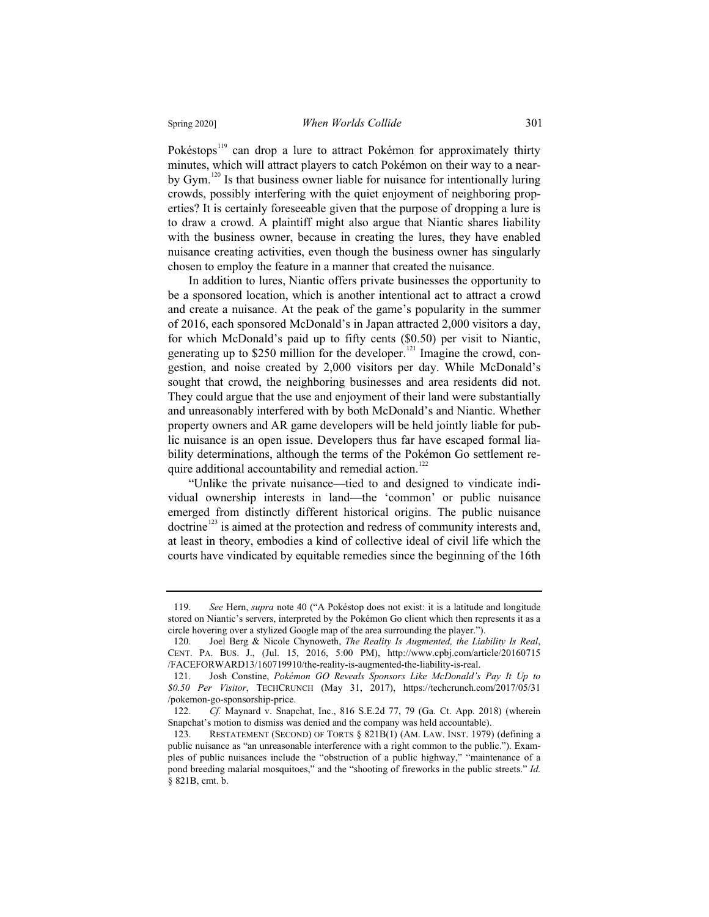#### Spring 2020] *When Worlds Collide* 301

Pokéstops<sup>119</sup> can drop a lure to attract Pokémon for approximately thirty minutes, which will attract players to catch Pokémon on their way to a nearby Gym.<sup>120</sup> Is that business owner liable for nuisance for intentionally luring crowds, possibly interfering with the quiet enjoyment of neighboring properties? It is certainly foreseeable given that the purpose of dropping a lure is to draw a crowd. A plaintiff might also argue that Niantic shares liability with the business owner, because in creating the lures, they have enabled nuisance creating activities, even though the business owner has singularly chosen to employ the feature in a manner that created the nuisance.

In addition to lures, Niantic offers private businesses the opportunity to be a sponsored location, which is another intentional act to attract a crowd and create a nuisance. At the peak of the game's popularity in the summer of 2016, each sponsored McDonald's in Japan attracted 2,000 visitors a day, for which McDonald's paid up to fifty cents (\$0.50) per visit to Niantic, generating up to \$250 million for the developer.<sup>121</sup> Imagine the crowd, congestion, and noise created by 2,000 visitors per day. While McDonald's sought that crowd, the neighboring businesses and area residents did not. They could argue that the use and enjoyment of their land were substantially and unreasonably interfered with by both McDonald's and Niantic. Whether property owners and AR game developers will be held jointly liable for public nuisance is an open issue. Developers thus far have escaped formal liability determinations, although the terms of the Pokémon Go settlement require additional accountability and remedial action.<sup>122</sup>

"Unlike the private nuisance—tied to and designed to vindicate individual ownership interests in land—the 'common' or public nuisance emerged from distinctly different historical origins. The public nuisance doctrine<sup>123</sup> is aimed at the protection and redress of community interests and, at least in theory, embodies a kind of collective ideal of civil life which the courts have vindicated by equitable remedies since the beginning of the 16th

<sup>119.</sup> *See* Hern, *supra* note 40 ("A Pokéstop does not exist: it is a latitude and longitude stored on Niantic's servers, interpreted by the Pokémon Go client which then represents it as a circle hovering over a stylized Google map of the area surrounding the player.").

<sup>120.</sup> Joel Berg & Nicole Chynoweth, *The Reality Is Augmented, the Liability Is Real*, CENT. PA. BUS. J., (Jul. 15, 2016, 5:00 PM), http://www.cpbj.com/article/20160715 /FACEFORWARD13/160719910/the-reality-is-augmented-the-liability-is-real.

<sup>121.</sup> Josh Constine, *Pokémon GO Reveals Sponsors Like McDonald's Pay It Up to \$0.50 Per Visitor*, TECHCRUNCH (May 31, 2017), https://techcrunch.com/2017/05/31 /pokemon-go-sponsorship-price.

<sup>122.</sup> *Cf.* Maynard v. Snapchat, Inc., 816 S.E.2d 77, 79 (Ga. Ct. App. 2018) (wherein Snapchat's motion to dismiss was denied and the company was held accountable).

<sup>123.</sup> RESTATEMENT (SECOND) OF TORTS § 821B(1) (AM. LAW. INST. 1979) (defining a public nuisance as "an unreasonable interference with a right common to the public."). Examples of public nuisances include the "obstruction of a public highway," "maintenance of a pond breeding malarial mosquitoes," and the "shooting of fireworks in the public streets." *Id.* § 821B, cmt. b.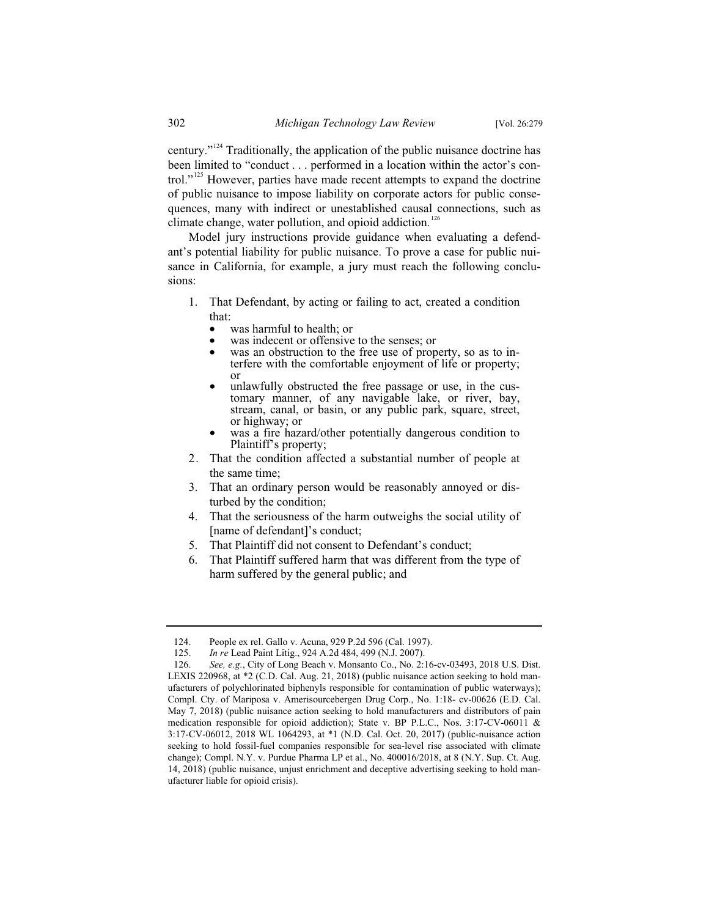century."<sup>124</sup> Traditionally, the application of the public nuisance doctrine has been limited to "conduct . . . performed in a location within the actor's control."<sup>125</sup> However, parties have made recent attempts to expand the doctrine of public nuisance to impose liability on corporate actors for public consequences, many with indirect or unestablished causal connections, such as climate change, water pollution, and opioid addiction.<sup>126</sup>

Model jury instructions provide guidance when evaluating a defendant's potential liability for public nuisance. To prove a case for public nuisance in California, for example, a jury must reach the following conclusions:

- 1. That Defendant, by acting or failing to act, created a condition that:
	-
	-
	- was harmful to health; or<br>• was indecent or offensive to the senses; or<br>• was an obstruction to the free use of property, so as to interfere with the comfortable enjoyment of life or property;
	- or<br>unlawfully obstructed the free passage or use, in the customary manner, of any navigable lake, or river, bay, stream, canal, or basin, or any public park, square, street, or highway; or
	- was a fire hazard/other potentially dangerous condition to Plaintiff's property;
- 2. That the condition affected a substantial number of people at the same time;
- 3. That an ordinary person would be reasonably annoyed or disturbed by the condition;
- 4. That the seriousness of the harm outweighs the social utility of [name of defendant]'s conduct;
- 5. That Plaintiff did not consent to Defendant's conduct;
- 6. That Plaintiff suffered harm that was different from the type of harm suffered by the general public; and

<sup>124.</sup> People ex rel. Gallo v. Acuna, 929 P.2d 596 (Cal. 1997).

<sup>125.</sup> *In re* Lead Paint Litig., 924 A.2d 484, 499 (N.J. 2007).

<sup>126.</sup> *See, e.g.*, City of Long Beach v. Monsanto Co., No. 2:16-cv-03493, 2018 U.S. Dist. LEXIS 220968, at \*2 (C.D. Cal. Aug. 21, 2018) (public nuisance action seeking to hold manufacturers of polychlorinated biphenyls responsible for contamination of public waterways); Compl. Cty. of Mariposa v. Amerisourcebergen Drug Corp., No. 1:18- cv-00626 (E.D. Cal. May 7, 2018) (public nuisance action seeking to hold manufacturers and distributors of pain medication responsible for opioid addiction); State v. BP P.L.C., Nos. 3:17-CV-06011 & 3:17-CV-06012, 2018 WL 1064293, at \*1 (N.D. Cal. Oct. 20, 2017) (public-nuisance action seeking to hold fossil-fuel companies responsible for sea-level rise associated with climate change); Compl. N.Y. v. Purdue Pharma LP et al., No. 400016/2018, at 8 (N.Y. Sup. Ct. Aug. 14, 2018) (public nuisance, unjust enrichment and deceptive advertising seeking to hold manufacturer liable for opioid crisis).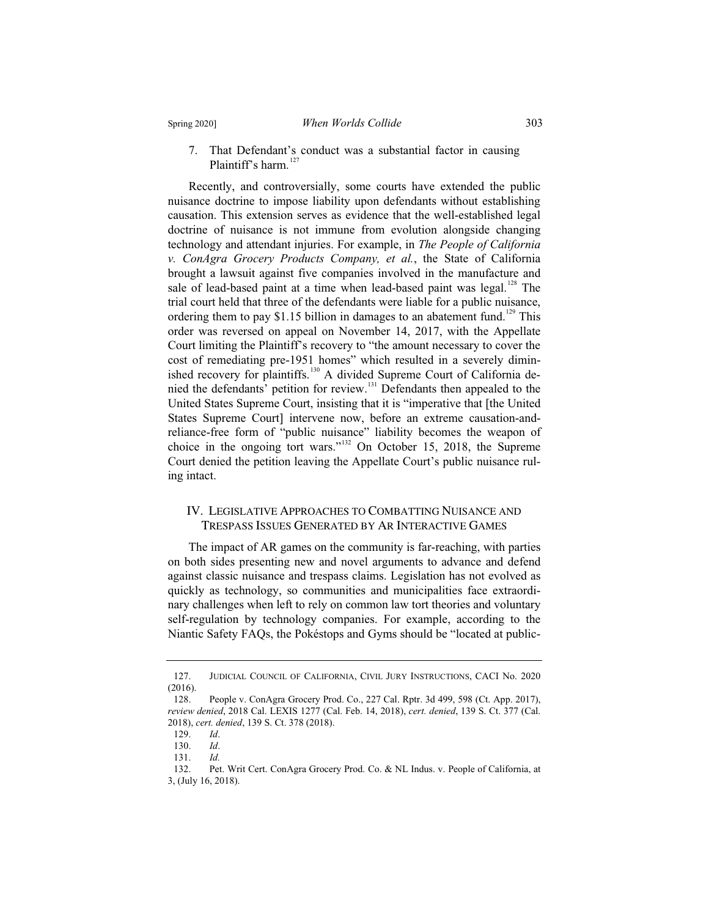7. That Defendant's conduct was a substantial factor in causing Plaintiff's harm.<sup>127</sup>

Recently, and controversially, some courts have extended the public nuisance doctrine to impose liability upon defendants without establishing causation. This extension serves as evidence that the well-established legal doctrine of nuisance is not immune from evolution alongside changing technology and attendant injuries. For example, in *The People of California v. ConAgra Grocery Products Company, et al.*, the State of California brought a lawsuit against five companies involved in the manufacture and sale of lead-based paint at a time when lead-based paint was legal.<sup>128</sup> The trial court held that three of the defendants were liable for a public nuisance, ordering them to pay \$1.15 billion in damages to an abatement fund.<sup>129</sup> This order was reversed on appeal on November 14, 2017, with the Appellate Court limiting the Plaintiff's recovery to "the amount necessary to cover the cost of remediating pre-1951 homes" which resulted in a severely diminished recovery for plaintiffs.<sup>130</sup> A divided Supreme Court of California denied the defendants' petition for review.<sup>131</sup> Defendants then appealed to the United States Supreme Court, insisting that it is "imperative that [the United States Supreme Court] intervene now, before an extreme causation-andreliance-free form of "public nuisance" liability becomes the weapon of choice in the ongoing tort wars."<sup>132</sup> On October 15, 2018, the Supreme Court denied the petition leaving the Appellate Court's public nuisance ruling intact.

#### IV. LEGISLATIVE APPROACHES TO COMBATTING NUISANCE AND TRESPASS ISSUES GENERATED BY AR INTERACTIVE GAMES

The impact of AR games on the community is far-reaching, with parties on both sides presenting new and novel arguments to advance and defend against classic nuisance and trespass claims. Legislation has not evolved as quickly as technology, so communities and municipalities face extraordinary challenges when left to rely on common law tort theories and voluntary self-regulation by technology companies. For example, according to the Niantic Safety FAQs, the Pokéstops and Gyms should be "located at public-

<sup>127.</sup> JUDICIAL COUNCIL OF CALIFORNIA, CIVIL JURY INSTRUCTIONS, CACI No. 2020  $(2016).$ <br>128.

People v. ConAgra Grocery Prod. Co., 227 Cal. Rptr. 3d 499, 598 (Ct. App. 2017), *review denied*, 2018 Cal. LEXIS 1277 (Cal. Feb. 14, 2018), *cert. denied*, 139 S. Ct. 377 (Cal. 2018), *cert. denied*, 139 S. Ct. 378 (2018).

<sup>129.</sup> *Id*.

<sup>130.</sup> *Id*.

<sup>131.</sup> *Id.*

Pet. Writ Cert. ConAgra Grocery Prod. Co. & NL Indus. v. People of California, at 3, (July 16, 2018).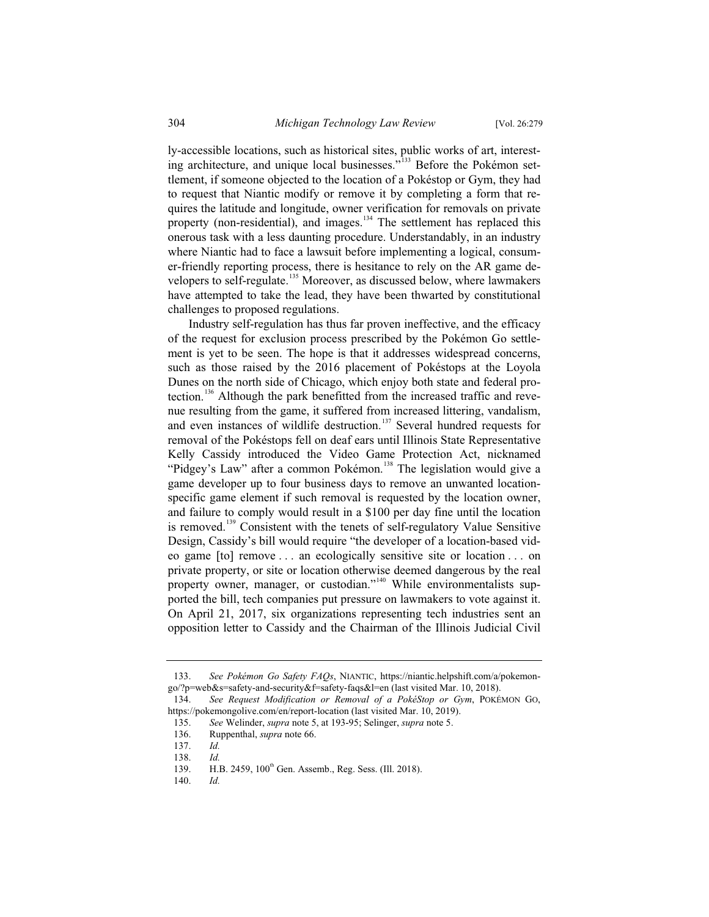ly-accessible locations, such as historical sites, public works of art, interesting architecture, and unique local businesses."<sup>133</sup> Before the Pokémon settlement, if someone objected to the location of a Pokéstop or Gym, they had to request that Niantic modify or remove it by completing a form that requires the latitude and longitude, owner verification for removals on private property (non-residential), and images. $134$  The settlement has replaced this onerous task with a less daunting procedure. Understandably, in an industry where Niantic had to face a lawsuit before implementing a logical, consumer-friendly reporting process, there is hesitance to rely on the AR game developers to self-regulate.<sup>135</sup> Moreover, as discussed below, where lawmakers have attempted to take the lead, they have been thwarted by constitutional challenges to proposed regulations.

Industry self-regulation has thus far proven ineffective, and the efficacy of the request for exclusion process prescribed by the Pokémon Go settlement is yet to be seen. The hope is that it addresses widespread concerns, such as those raised by the 2016 placement of Pokéstops at the Loyola Dunes on the north side of Chicago, which enjoy both state and federal protection.<sup>136</sup> Although the park benefitted from the increased traffic and revenue resulting from the game, it suffered from increased littering, vandalism, and even instances of wildlife destruction.<sup>137</sup> Several hundred requests for removal of the Pokéstops fell on deaf ears until Illinois State Representative Kelly Cassidy introduced the Video Game Protection Act, nicknamed "Pidgey's Law" after a common Pokémon.<sup>138</sup> The legislation would give a game developer up to four business days to remove an unwanted locationspecific game element if such removal is requested by the location owner, and failure to comply would result in a \$100 per day fine until the location is removed.<sup>139</sup> Consistent with the tenets of self-regulatory Value Sensitive Design, Cassidy's bill would require "the developer of a location-based video game [to] remove . . . an ecologically sensitive site or location . . . on private property, or site or location otherwise deemed dangerous by the real property owner, manager, or custodian."<sup>140</sup> While environmentalists supported the bill, tech companies put pressure on lawmakers to vote against it. On April 21, 2017, six organizations representing tech industries sent an opposition letter to Cassidy and the Chairman of the Illinois Judicial Civil

<sup>133.</sup> *See Pokémon Go Safety FAQs*, NIANTIC, https://niantic.helpshift.com/a/pokemongo/?p=web&s=safety-and-security&f=safety-faqs&l=en (last visited Mar. 10, 2018).

<sup>134.</sup> *See Request Modification or Removal of a PokéStop or Gym*, POKÉMON GO, https://pokemongolive.com/en/report-location (last visited Mar. 10, 2019).

<sup>135.</sup> *See* Welinder, *supra* note 5, at 193-95; Selinger, *supra* note 5.

<sup>136.</sup> Ruppenthal, *supra* note 66.

<sup>137.</sup> *Id.*

<sup>138.</sup> *Id.*

H.B. 2459, 100<sup>th</sup> Gen. Assemb., Reg. Sess. (Ill. 2018).

<sup>140.</sup> *Id.*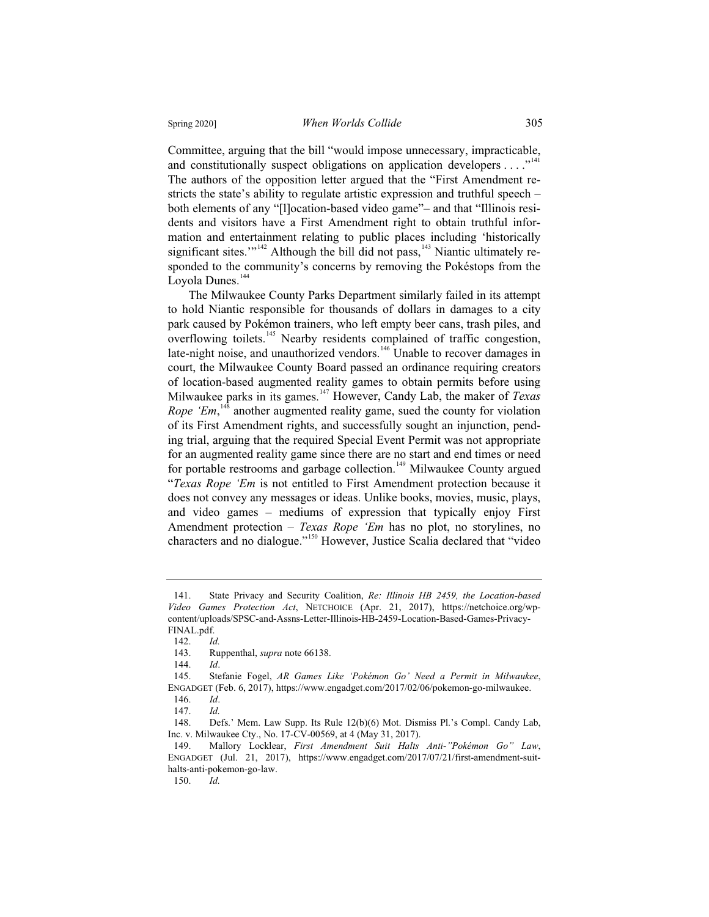Committee, arguing that the bill "would impose unnecessary, impracticable, and constitutionally suspect obligations on application developers  $\dots$ ."<sup>141</sup> The authors of the opposition letter argued that the "First Amendment restricts the state's ability to regulate artistic expression and truthful speech – both elements of any "[l]ocation-based video game"– and that "Illinois residents and visitors have a First Amendment right to obtain truthful information and entertainment relating to public places including 'historically significant sites.'"<sup>142</sup> Although the bill did not pass,<sup>143</sup> Niantic ultimately responded to the community's concerns by removing the Pokéstops from the Loyola Dunes.<sup>144</sup>

The Milwaukee County Parks Department similarly failed in its attempt to hold Niantic responsible for thousands of dollars in damages to a city park caused by Pokémon trainers, who left empty beer cans, trash piles, and overflowing toilets.<sup>145</sup> Nearby residents complained of traffic congestion, late-night noise, and unauthorized vendors.<sup>146</sup> Unable to recover damages in court, the Milwaukee County Board passed an ordinance requiring creators of location-based augmented reality games to obtain permits before using Milwaukee parks in its games.<sup>147</sup> However, Candy Lab, the maker of *Texas Rope 'Em*,<sup>148</sup> another augmented reality game, sued the county for violation of its First Amendment rights, and successfully sought an injunction, pending trial, arguing that the required Special Event Permit was not appropriate for an augmented reality game since there are no start and end times or need for portable restrooms and garbage collection.<sup>149</sup> Milwaukee County argued "*Texas Rope 'Em* is not entitled to First Amendment protection because it does not convey any messages or ideas. Unlike books, movies, music, plays, and video games – mediums of expression that typically enjoy First Amendment protection – *Texas Rope 'Em* has no plot, no storylines, no characters and no dialogue."<sup>150</sup> However, Justice Scalia declared that "video

<sup>141.</sup> State Privacy and Security Coalition, *Re: Illinois HB 2459, the Location-based Video Games Protection Act*, NETCHOICE (Apr. 21, 2017), https://netchoice.org/wpcontent/uploads/SPSC-and-Assns-Letter-Illinois-HB-2459-Location-Based-Games-Privacy-FINAL.pdf.

<sup>142.</sup> *Id.*

<sup>143.</sup> Ruppenthal, *supra* note 66138.

<sup>144.</sup> *Id*.

<sup>145.</sup> Stefanie Fogel, *AR Games Like 'Pokémon Go' Need a Permit in Milwaukee*, ENGADGET (Feb. 6, 2017), https://www.engadget.com/2017/02/06/pokemon-go-milwaukee. 146. *Id*.

<sup>147.</sup> *Id.*

<sup>148.</sup> Defs.' Mem. Law Supp. Its Rule 12(b)(6) Mot. Dismiss Pl.'s Compl. Candy Lab, Inc. v. Milwaukee Cty., No. 17-CV-00569, at 4 (May 31, 2017).<br>149. Mallory Locklear, *First Amendment Suit Halts* 

<sup>149.</sup> Mallory Locklear, *First Amendment Suit Halts Anti-"Pokémon Go" Law*, ENGADGET (Jul. 21, 2017), https://www.engadget.com/2017/07/21/first-amendment-suithalts-anti-pokemon-go-law.

<sup>150.</sup> *Id.*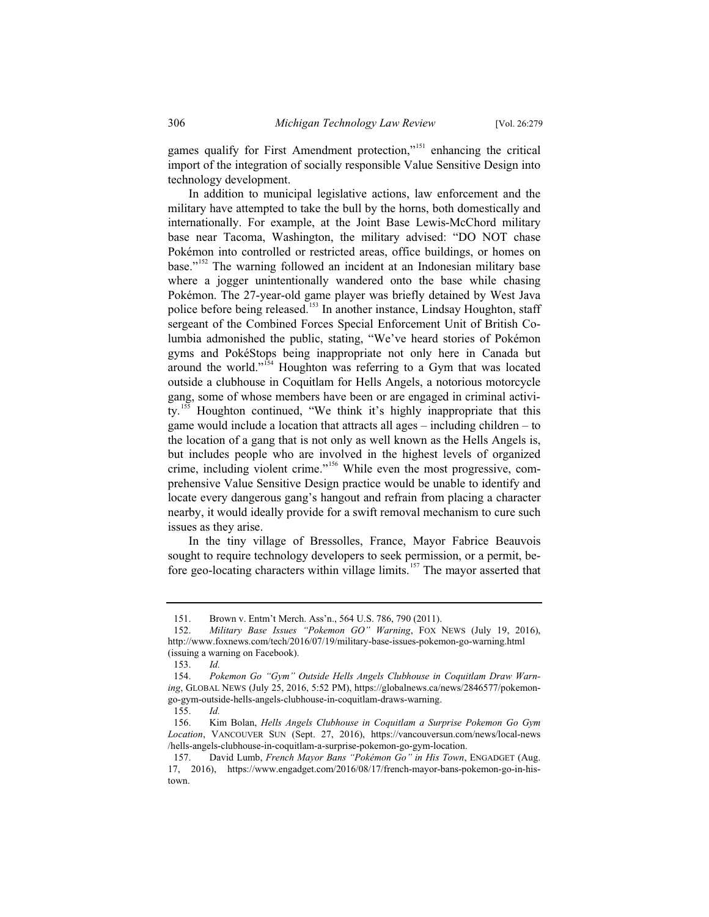games qualify for First Amendment protection,"<sup>151</sup> enhancing the critical import of the integration of socially responsible Value Sensitive Design into technology development.

In addition to municipal legislative actions, law enforcement and the military have attempted to take the bull by the horns, both domestically and internationally. For example, at the Joint Base Lewis-McChord military base near Tacoma, Washington, the military advised: "DO NOT chase Pokémon into controlled or restricted areas, office buildings, or homes on base."<sup>152</sup> The warning followed an incident at an Indonesian military base where a jogger unintentionally wandered onto the base while chasing Pokémon. The 27-year-old game player was briefly detained by West Java police before being released.<sup>153</sup> In another instance, Lindsay Houghton, staff sergeant of the Combined Forces Special Enforcement Unit of British Columbia admonished the public, stating, "We've heard stories of Pokémon gyms and PokéStops being inappropriate not only here in Canada but around the world."<sup>154</sup> Houghton was referring to a Gym that was located outside a clubhouse in Coquitlam for Hells Angels, a notorious motorcycle gang, some of whose members have been or are engaged in criminal activity.<sup>155</sup> Houghton continued, "We think it's highly inappropriate that this game would include a location that attracts all ages – including children – to the location of a gang that is not only as well known as the Hells Angels is, but includes people who are involved in the highest levels of organized crime, including violent crime."<sup>156</sup> While even the most progressive, comprehensive Value Sensitive Design practice would be unable to identify and locate every dangerous gang's hangout and refrain from placing a character nearby, it would ideally provide for a swift removal mechanism to cure such issues as they arise.

In the tiny village of Bressolles, France, Mayor Fabrice Beauvois sought to require technology developers to seek permission, or a permit, before geo-locating characters within village limits.<sup>157</sup> The mayor asserted that

<sup>151.</sup> Brown v. Entm't Merch. Ass'n., 564 U.S. 786, 790 (2011).<br>152 Military Base Issues "Pokemon GO" Warning FOX 1

<sup>152.</sup> *Military Base Issues "Pokemon GO" Warning*, FOX NEWS (July 19, 2016), http://www.foxnews.com/tech/2016/07/19/military-base-issues-pokemon-go-warning.html (issuing a warning on Facebook).

<sup>153.</sup> *Id.*

<sup>154.</sup> *Pokemon Go "Gym" Outside Hells Angels Clubhouse in Coquitlam Draw Warning*, GLOBAL NEWS (July 25, 2016, 5:52 PM), https://globalnews.ca/news/2846577/pokemongo-gym-outside-hells-angels-clubhouse-in-coquitlam-draws-warning.

<sup>155.</sup> *Id.*

<sup>156.</sup> Kim Bolan, *Hells Angels Clubhouse in Coquitlam a Surprise Pokemon Go Gym Location*, VANCOUVER SUN (Sept. 27, 2016), https://vancouversun.com/news/local-news /hells-angels-clubhouse-in-coquitlam-a-surprise-pokemon-go-gym-location.

<sup>157.</sup> David Lumb, *French Mayor Bans "Pokémon Go" in His Town*, ENGADGET (Aug. 17, 2016), https://www.engadget.com/2016/08/17/french-mayor-bans-pokemon-go-in-histown.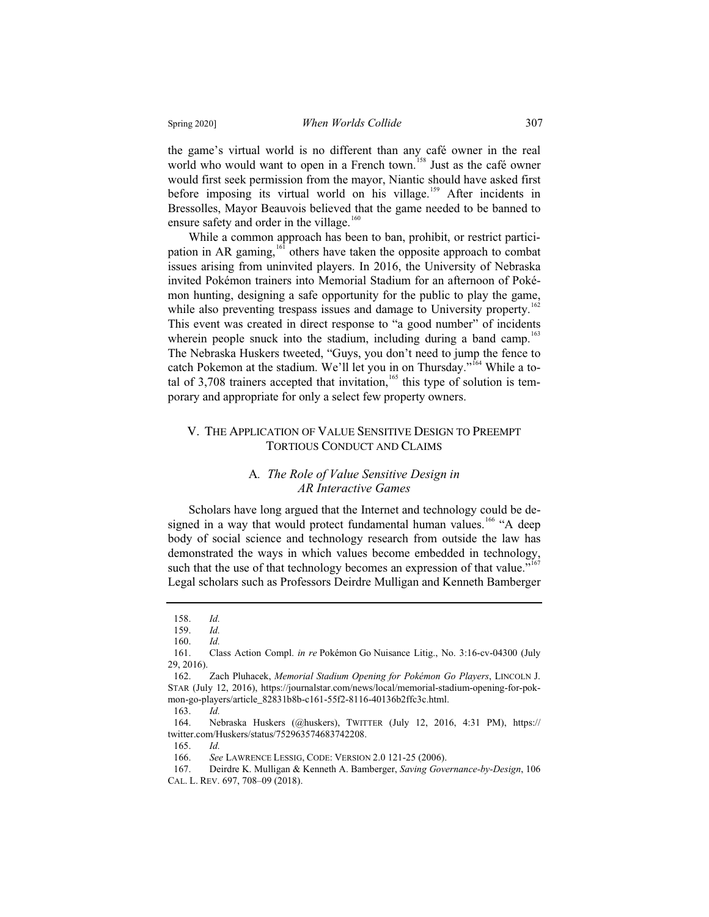the game's virtual world is no different than any café owner in the real world who would want to open in a French town.<sup>158</sup> Just as the café owner would first seek permission from the mayor, Niantic should have asked first before imposing its virtual world on his village.<sup>159</sup> After incidents in Bressolles, Mayor Beauvois believed that the game needed to be banned to ensure safety and order in the village. $160$ 

While a common approach has been to ban, prohibit, or restrict participation in AR gaming, $161$  others have taken the opposite approach to combat issues arising from uninvited players. In 2016, the University of Nebraska invited Pokémon trainers into Memorial Stadium for an afternoon of Pokémon hunting, designing a safe opportunity for the public to play the game, while also preventing trespass issues and damage to University property.<sup>162</sup> This event was created in direct response to "a good number" of incidents wherein people snuck into the stadium, including during a band camp.<sup>163</sup> The Nebraska Huskers tweeted, "Guys, you don't need to jump the fence to catch Pokemon at the stadium. We'll let you in on Thursday."<sup>164</sup> While a total of 3,708 trainers accepted that invitation,  $165$  this type of solution is temporary and appropriate for only a select few property owners.

#### V. THE APPLICATION OF VALUE SENSITIVE DESIGN TO PREEMPT TORTIOUS CONDUCT AND CLAIMS

#### A*. The Role of Value Sensitive Design in AR Interactive Games*

Scholars have long argued that the Internet and technology could be designed in a way that would protect fundamental human values.<sup>166</sup> "A deep body of social science and technology research from outside the law has demonstrated the ways in which values become embedded in technology, such that the use of that technology becomes an expression of that value."<sup>167</sup> Legal scholars such as Professors Deirdre Mulligan and Kenneth Bamberger

<sup>158.</sup> *Id.*

<sup>159.</sup> *Id.*

<sup>160.</sup> *Id.*

<sup>161.</sup> Class Action Compl. *in re* Pokémon Go Nuisance Litig., No. 3:16-cv-04300 (July 29, 2016).

<sup>162.</sup> Zach Pluhacek, *Memorial Stadium Opening for Pokémon Go Players*, LINCOLN J. STAR (July 12, 2016), https://journalstar.com/news/local/memorial-stadium-opening-for-pokmon-go-players/article\_82831b8b-c161-55f2-8116-40136b2ffc3c.html.

<sup>163.</sup> *Id.*

<sup>164.</sup> Nebraska Huskers (@huskers), TWITTER (July 12, 2016, 4:31 PM), https:// twitter.com/Huskers/status/752963574683742208.

<sup>165.</sup> *Id.*

<sup>166.</sup> *See* LAWRENCE LESSIG, CODE: VERSION 2.0 121-25 (2006).

<sup>167.</sup> Deirdre K. Mulligan & Kenneth A. Bamberger, *Saving Governance-by-Design*, 106 CAL. L. REV. 697, 708–09 (2018).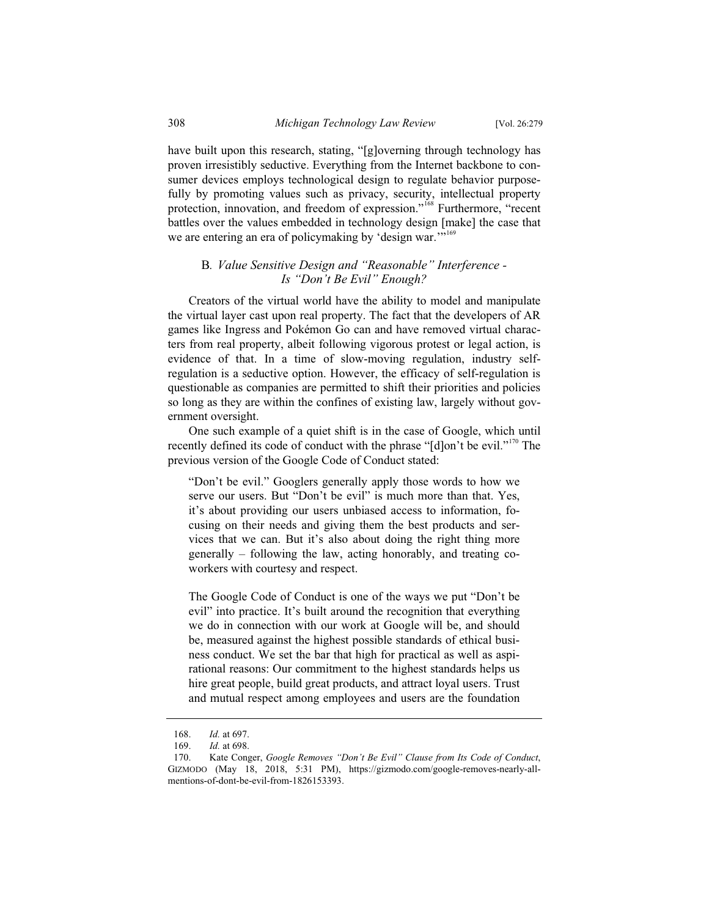have built upon this research, stating, "[g]overning through technology has proven irresistibly seductive. Everything from the Internet backbone to consumer devices employs technological design to regulate behavior purposefully by promoting values such as privacy, security, intellectual property protection, innovation, and freedom of expression."<sup>168</sup> Furthermore, "recent battles over the values embedded in technology design [make] the case that we are entering an era of policymaking by 'design war."<sup>169</sup>

#### B*. Value Sensitive Design and "Reasonable" Interference - Is "Don't Be Evil" Enough?*

Creators of the virtual world have the ability to model and manipulate the virtual layer cast upon real property. The fact that the developers of AR games like Ingress and Pokémon Go can and have removed virtual characters from real property, albeit following vigorous protest or legal action, is evidence of that. In a time of slow-moving regulation, industry selfregulation is a seductive option. However, the efficacy of self-regulation is questionable as companies are permitted to shift their priorities and policies so long as they are within the confines of existing law, largely without government oversight.

One such example of a quiet shift is in the case of Google, which until recently defined its code of conduct with the phrase " $[d]$ on't be evil."<sup>170</sup> The previous version of the Google Code of Conduct stated:

"Don't be evil." Googlers generally apply those words to how we serve our users. But "Don't be evil" is much more than that. Yes, it's about providing our users unbiased access to information, focusing on their needs and giving them the best products and services that we can. But it's also about doing the right thing more generally – following the law, acting honorably, and treating coworkers with courtesy and respect.

The Google Code of Conduct is one of the ways we put "Don't be evil" into practice. It's built around the recognition that everything we do in connection with our work at Google will be, and should be, measured against the highest possible standards of ethical business conduct. We set the bar that high for practical as well as aspirational reasons: Our commitment to the highest standards helps us hire great people, build great products, and attract loyal users. Trust and mutual respect among employees and users are the foundation

<sup>168.</sup> *Id.* at 697.

<sup>169.</sup> *Id.* at 698.

<sup>170.</sup> Kate Conger, *Google Removes "Don't Be Evil" Clause from Its Code of Conduct*, GIZMODO (May 18, 2018, 5:31 PM), https://gizmodo.com/google-removes-nearly-allmentions-of-dont-be-evil-from-1826153393.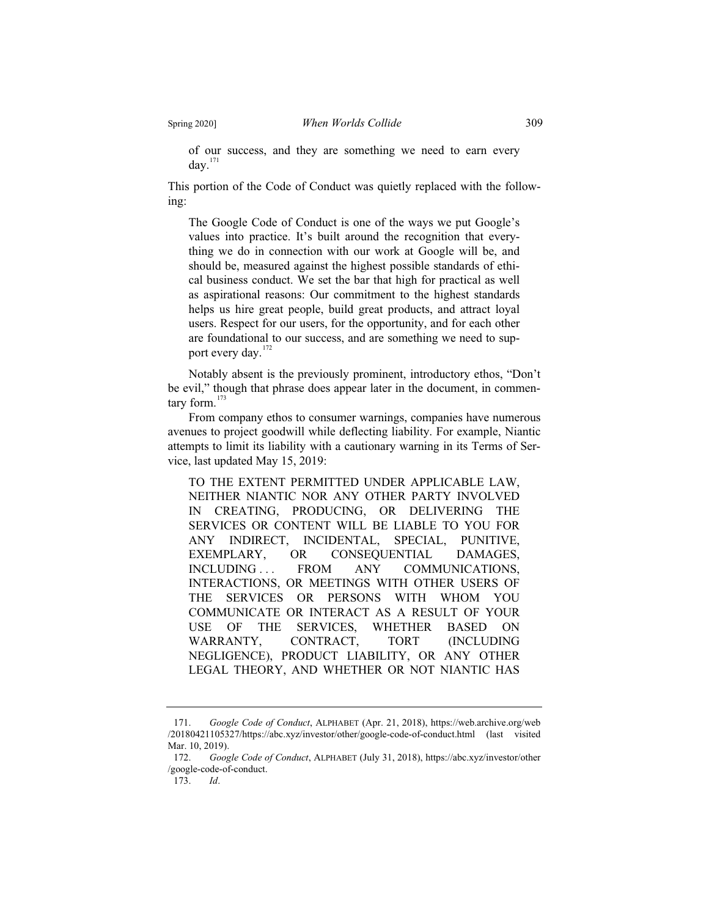of our success, and they are something we need to earn every day.<sup>171</sup>

This portion of the Code of Conduct was quietly replaced with the following:

The Google Code of Conduct is one of the ways we put Google's values into practice. It's built around the recognition that everything we do in connection with our work at Google will be, and should be, measured against the highest possible standards of ethical business conduct. We set the bar that high for practical as well as aspirational reasons: Our commitment to the highest standards helps us hire great people, build great products, and attract loyal users. Respect for our users, for the opportunity, and for each other are foundational to our success, and are something we need to support every day.<sup>172</sup>

Notably absent is the previously prominent, introductory ethos, "Don't be evil," though that phrase does appear later in the document, in commentary form. $173$ 

From company ethos to consumer warnings, companies have numerous avenues to project goodwill while deflecting liability. For example, Niantic attempts to limit its liability with a cautionary warning in its Terms of Service, last updated May 15, 2019:

TO THE EXTENT PERMITTED UNDER APPLICABLE LAW, NEITHER NIANTIC NOR ANY OTHER PARTY INVOLVED IN CREATING, PRODUCING, OR DELIVERING THE SERVICES OR CONTENT WILL BE LIABLE TO YOU FOR ANY INDIRECT, INCIDENTAL, SPECIAL, PUNITIVE, EXEMPLARY, OR CONSEQUENTIAL DAMAGES, INCLUDING ... FROM ANY COMMUNICATIONS, INTERACTIONS, OR MEETINGS WITH OTHER USERS OF THE SERVICES OR PERSONS WITH WHOM YOU COMMUNICATE OR INTERACT AS A RESULT OF YOUR USE OF THE SERVICES, WHETHER BASED ON WARRANTY, CONTRACT, TORT (INCLUDING NEGLIGENCE), PRODUCT LIABILITY, OR ANY OTHER LEGAL THEORY, AND WHETHER OR NOT NIANTIC HAS

<sup>171.</sup> *Google Code of Conduct*, ALPHABET (Apr. 21, 2018), https://web.archive.org/web /20180421105327/https://abc.xyz/investor/other/google-code-of-conduct.html (last visited Mar. 10, 2019).

<sup>172.</sup> *Google Code of Conduct*, ALPHABET (July 31, 2018), https://abc.xyz/investor/other /google-code-of-conduct.

<sup>173.</sup> *Id*.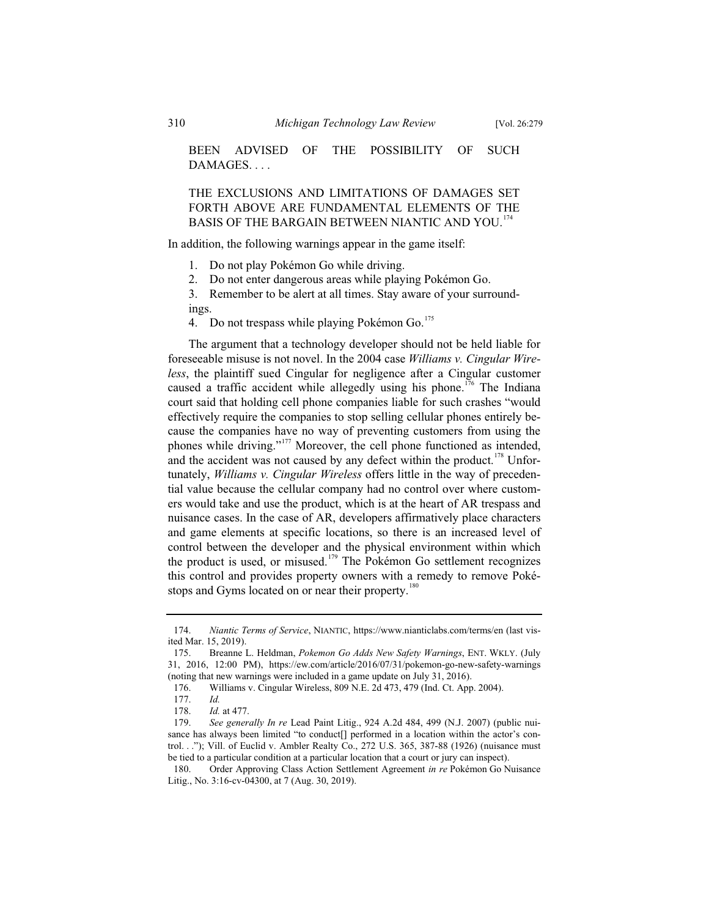BEEN ADVISED OF THE POSSIBILITY OF SUCH DAMAGES. . . .

THE EXCLUSIONS AND LIMITATIONS OF DAMAGES SET FORTH ABOVE ARE FUNDAMENTAL ELEMENTS OF THE BASIS OF THE BARGAIN BETWEEN NIANTIC AND YOU.<sup>174</sup>

In addition, the following warnings appear in the game itself:

- 1. Do not play Pokémon Go while driving.
- 2. Do not enter dangerous areas while playing Pokémon Go.

3. Remember to be alert at all times. Stay aware of your surround-

ings.

4. Do not trespass while playing Pokémon Go.<sup>175</sup>

The argument that a technology developer should not be held liable for foreseeable misuse is not novel. In the 2004 case *Williams v. Cingular Wireless*, the plaintiff sued Cingular for negligence after a Cingular customer caused a traffic accident while allegedly using his phone.<sup>176</sup> The Indiana court said that holding cell phone companies liable for such crashes "would effectively require the companies to stop selling cellular phones entirely because the companies have no way of preventing customers from using the phones while driving."<sup>177</sup> Moreover, the cell phone functioned as intended, and the accident was not caused by any defect within the product.<sup>178</sup> Unfortunately, *Williams v. Cingular Wireless* offers little in the way of precedential value because the cellular company had no control over where customers would take and use the product, which is at the heart of AR trespass and nuisance cases. In the case of AR, developers affirmatively place characters and game elements at specific locations, so there is an increased level of control between the developer and the physical environment within which the product is used, or misused.<sup>179</sup> The Pokémon Go settlement recognizes this control and provides property owners with a remedy to remove Pokéstops and Gyms located on or near their property.<sup>180</sup>

<sup>174.</sup> *Niantic Terms of Service*, NIANTIC, https://www.nianticlabs.com/terms/en (last visited Mar. 15, 2019).

<sup>175.</sup> Breanne L. Heldman, *Pokemon Go Adds New Safety Warnings*, ENT. WKLY. (July 31, 2016, 12:00 PM), https://ew.com/article/2016/07/31/pokemon-go-new-safety-warnings (noting that new warnings were included in a game update on July 31, 2016).

<sup>176.</sup> Williams v. Cingular Wireless, 809 N.E. 2d 473, 479 (Ind. Ct. App. 2004).

<sup>177.</sup> *Id.*

<sup>178.</sup> *Id.* at 477.

<sup>179.</sup> *See generally In re* Lead Paint Litig., 924 A.2d 484, 499 (N.J. 2007) (public nuisance has always been limited "to conduct[] performed in a location within the actor's control. . ."); Vill. of Euclid v. Ambler Realty Co., 272 U.S. 365, 387-88 (1926) (nuisance must be tied to a particular condition at a particular location that a court or jury can inspect).

<sup>180.</sup> Order Approving Class Action Settlement Agreement *in re* Pokémon Go Nuisance Litig., No. 3:16-cv-04300, at 7 (Aug. 30, 2019).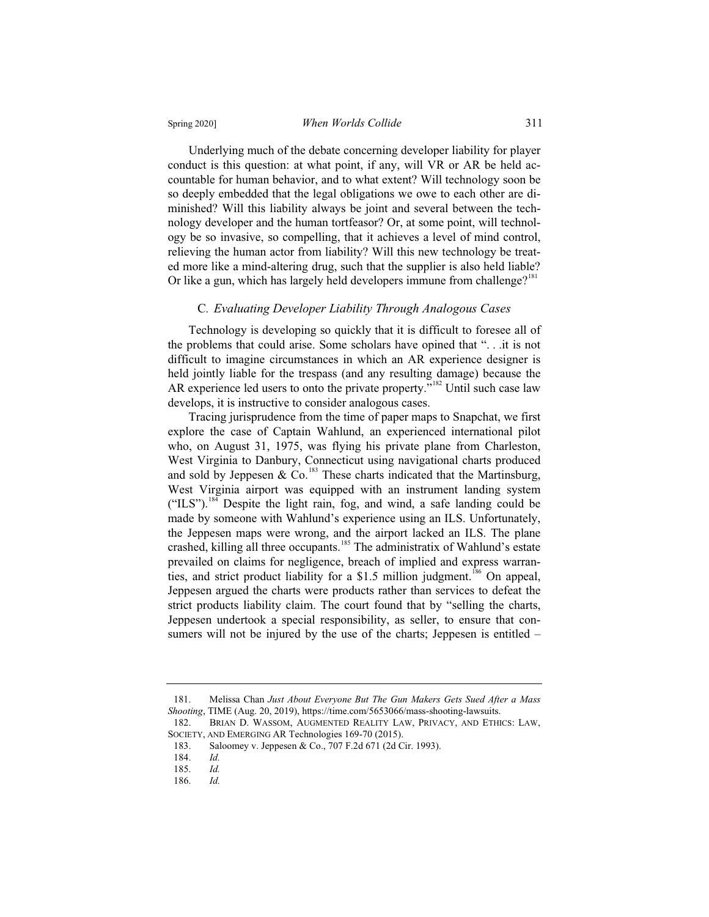Underlying much of the debate concerning developer liability for player conduct is this question: at what point, if any, will VR or AR be held accountable for human behavior, and to what extent? Will technology soon be so deeply embedded that the legal obligations we owe to each other are diminished? Will this liability always be joint and several between the technology developer and the human tortfeasor? Or, at some point, will technology be so invasive, so compelling, that it achieves a level of mind control, relieving the human actor from liability? Will this new technology be treated more like a mind-altering drug, such that the supplier is also held liable? Or like a gun, which has largely held developers immune from challenge?<sup>181</sup>

#### C*. Evaluating Developer Liability Through Analogous Cases*

Technology is developing so quickly that it is difficult to foresee all of the problems that could arise. Some scholars have opined that ". . .it is not difficult to imagine circumstances in which an AR experience designer is held jointly liable for the trespass (and any resulting damage) because the AR experience led users to onto the private property."<sup>182</sup> Until such case law develops, it is instructive to consider analogous cases.

Tracing jurisprudence from the time of paper maps to Snapchat, we first explore the case of Captain Wahlund, an experienced international pilot who, on August 31, 1975, was flying his private plane from Charleston, West Virginia to Danbury, Connecticut using navigational charts produced and sold by Jeppesen &  $Co$ .<sup>183</sup> These charts indicated that the Martinsburg, West Virginia airport was equipped with an instrument landing system  $("ILS")$ .<sup>184</sup> Despite the light rain, fog, and wind, a safe landing could be made by someone with Wahlund's experience using an ILS. Unfortunately, the Jeppesen maps were wrong, and the airport lacked an ILS. The plane crashed, killing all three occupants.<sup>185</sup> The administratix of Wahlund's estate prevailed on claims for negligence, breach of implied and express warranties, and strict product liability for a \$1.5 million judgment.<sup>186</sup> On appeal, Jeppesen argued the charts were products rather than services to defeat the strict products liability claim. The court found that by "selling the charts, Jeppesen undertook a special responsibility, as seller, to ensure that consumers will not be injured by the use of the charts; Jeppesen is entitled –

<sup>181.</sup> Melissa Chan *Just About Everyone But The Gun Makers Gets Sued After a Mass Shooting*, TIME (Aug. 20, 2019), https://time.com/5653066/mass-shooting-lawsuits.

<sup>182.</sup> BRIAN D. WASSOM, AUGMENTED REALITY LAW, PRIVACY, AND ETHICS: LAW, SOCIETY, AND EMERGING AR Technologies 169-70 (2015).

<sup>183.</sup> Saloomey v. Jeppesen & Co., 707 F.2d 671 (2d Cir. 1993).

<sup>184.</sup> *Id.*

<sup>185.</sup> *Id.*

<sup>186.</sup> *Id.*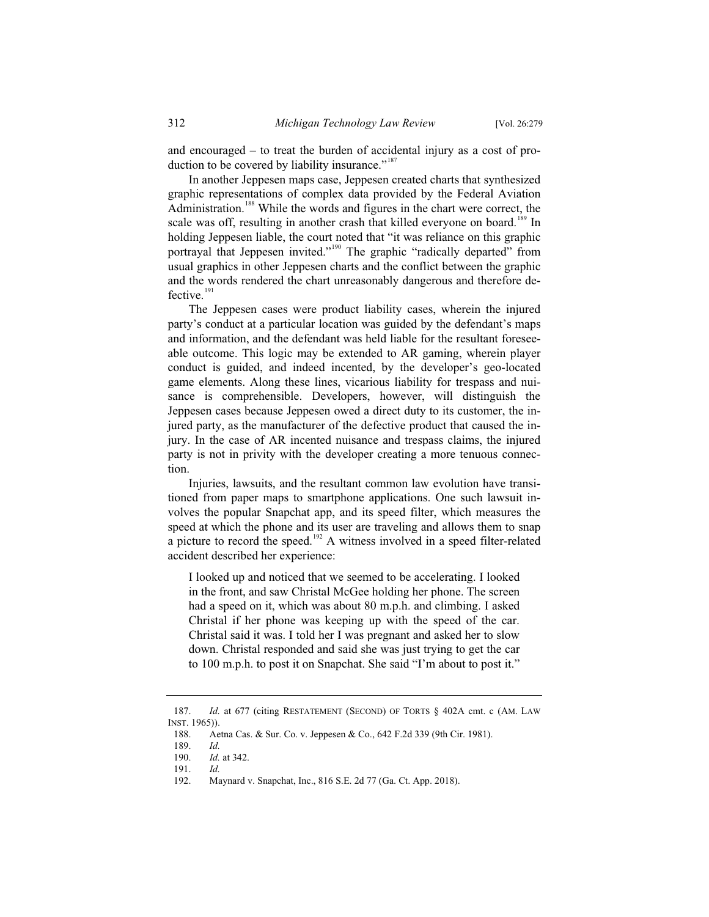and encouraged – to treat the burden of accidental injury as a cost of production to be covered by liability insurance."<sup>187</sup>

In another Jeppesen maps case, Jeppesen created charts that synthesized graphic representations of complex data provided by the Federal Aviation Administration.<sup>188</sup> While the words and figures in the chart were correct, the scale was off, resulting in another crash that killed everyone on board.<sup>189</sup> In holding Jeppesen liable, the court noted that "it was reliance on this graphic portrayal that Jeppesen invited."<sup>190</sup> The graphic "radically departed" from usual graphics in other Jeppesen charts and the conflict between the graphic and the words rendered the chart unreasonably dangerous and therefore defective. $191$ 

The Jeppesen cases were product liability cases, wherein the injured party's conduct at a particular location was guided by the defendant's maps and information, and the defendant was held liable for the resultant foreseeable outcome. This logic may be extended to AR gaming, wherein player conduct is guided, and indeed incented, by the developer's geo-located game elements. Along these lines, vicarious liability for trespass and nuisance is comprehensible. Developers, however, will distinguish the Jeppesen cases because Jeppesen owed a direct duty to its customer, the injured party, as the manufacturer of the defective product that caused the injury. In the case of AR incented nuisance and trespass claims, the injured party is not in privity with the developer creating a more tenuous connection.

Injuries, lawsuits, and the resultant common law evolution have transitioned from paper maps to smartphone applications. One such lawsuit involves the popular Snapchat app, and its speed filter, which measures the speed at which the phone and its user are traveling and allows them to snap a picture to record the speed.<sup>192</sup> A witness involved in a speed filter-related accident described her experience:

I looked up and noticed that we seemed to be accelerating. I looked in the front, and saw Christal McGee holding her phone. The screen had a speed on it, which was about 80 m.p.h. and climbing. I asked Christal if her phone was keeping up with the speed of the car. Christal said it was. I told her I was pregnant and asked her to slow down. Christal responded and said she was just trying to get the car to 100 m.p.h. to post it on Snapchat. She said "I'm about to post it."

<sup>187.</sup> *Id.* at 677 (citing RESTATEMENT (SECOND) OF TORTS § 402A cmt. c (AM. LAW INST. 1965)).<br>188. Ae

Aetna Cas. & Sur. Co. v. Jeppesen & Co., 642 F.2d 339 (9th Cir. 1981).

<sup>189.</sup> *Id.*

<sup>190.</sup> *Id.* at 342.

<sup>191.</sup> *Id.*

<sup>192.</sup> Maynard v. Snapchat, Inc., 816 S.E. 2d 77 (Ga. Ct. App. 2018).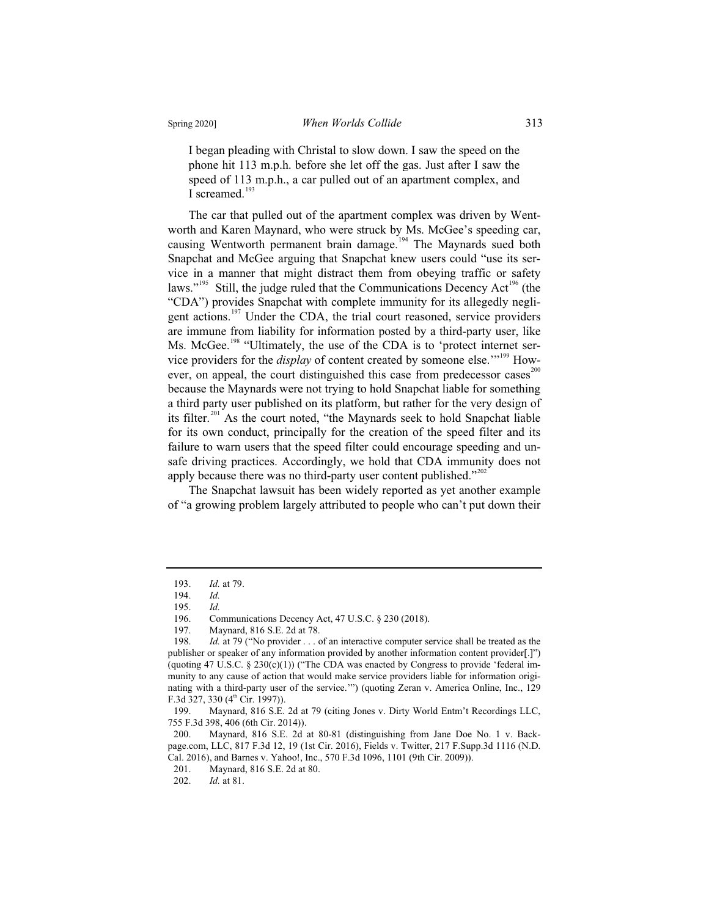I began pleading with Christal to slow down. I saw the speed on the phone hit 113 m.p.h. before she let off the gas. Just after I saw the speed of 113 m.p.h., a car pulled out of an apartment complex, and I screamed. $193$ 

The car that pulled out of the apartment complex was driven by Wentworth and Karen Maynard, who were struck by Ms. McGee's speeding car, causing Wentworth permanent brain damage.<sup>194</sup> The Maynards sued both Snapchat and McGee arguing that Snapchat knew users could "use its service in a manner that might distract them from obeying traffic or safety laws."<sup>195</sup> Still, the judge ruled that the Communications Decency Act<sup>196</sup> (the "CDA") provides Snapchat with complete immunity for its allegedly negligent actions.<sup>197</sup> Under the CDA, the trial court reasoned, service providers are immune from liability for information posted by a third-party user, like Ms. McGee.<sup>198</sup> "Ultimately, the use of the CDA is to 'protect internet service providers for the *display* of content created by someone else."<sup>199</sup> However, on appeal, the court distinguished this case from predecessor cases $^{200}$ because the Maynards were not trying to hold Snapchat liable for something a third party user published on its platform, but rather for the very design of its filter.<sup>201</sup> As the court noted, "the Maynards seek to hold Snapchat liable for its own conduct, principally for the creation of the speed filter and its failure to warn users that the speed filter could encourage speeding and unsafe driving practices. Accordingly, we hold that CDA immunity does not apply because there was no third-party user content published." $2^{202}$ 

The Snapchat lawsuit has been widely reported as yet another example of "a growing problem largely attributed to people who can't put down their

<sup>193.</sup> *Id.* at 79.

<sup>194.</sup> *Id.*

<sup>195.</sup> *Id.*

<sup>196.</sup> Communications Decency Act, 47 U.S.C. § 230 (2018).<br>197. Maynard, 816 S.E. 2d at 78.

Maynard, 816 S.E. 2d at 78.

<sup>198.</sup> *Id.* at 79 ("No provider . . . of an interactive computer service shall be treated as the publisher or speaker of any information provided by another information content provider[.]") (quoting 47 U.S.C.  $\S 230(c)(1)$ ) ("The CDA was enacted by Congress to provide 'federal immunity to any cause of action that would make service providers liable for information originating with a third-party user of the service.'") (quoting Zeran v. America Online, Inc., 129 F.3d 327, 330  $(4<sup>th</sup> Cir. 1997)$ ).

<sup>199.</sup> Maynard, 816 S.E. 2d at 79 (citing Jones v. Dirty World Entm't Recordings LLC, 755 F.3d 398, 406 (6th Cir. 2014)).

Maynard, 816 S.E. 2d at 80-81 (distinguishing from Jane Doe No. 1 v. Backpage.com, LLC, 817 F.3d 12, 19 (1st Cir. 2016), Fields v. Twitter, 217 F.Supp.3d 1116 (N.D. Cal. 2016), and Barnes v. Yahoo!, Inc., 570 F.3d 1096, 1101 (9th Cir. 2009)).

Maynard, 816 S.E. 2d at 80.

<sup>202.</sup> *Id.* at 81.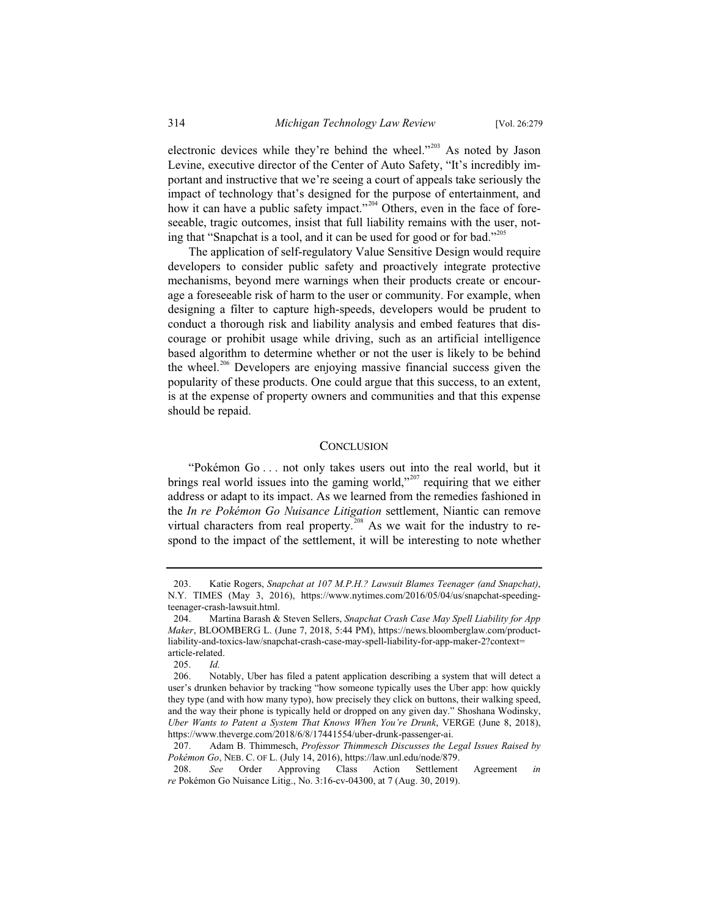electronic devices while they're behind the wheel."<sup>203</sup> As noted by Jason Levine, executive director of the Center of Auto Safety, "It's incredibly important and instructive that we're seeing a court of appeals take seriously the impact of technology that's designed for the purpose of entertainment, and how it can have a public safety impact."<sup>204</sup> Others, even in the face of foreseeable, tragic outcomes, insist that full liability remains with the user, noting that "Snapchat is a tool, and it can be used for good or for bad."<sup>205</sup>

The application of self-regulatory Value Sensitive Design would require developers to consider public safety and proactively integrate protective mechanisms, beyond mere warnings when their products create or encourage a foreseeable risk of harm to the user or community. For example, when designing a filter to capture high-speeds, developers would be prudent to conduct a thorough risk and liability analysis and embed features that discourage or prohibit usage while driving, such as an artificial intelligence based algorithm to determine whether or not the user is likely to be behind the wheel.<sup>206</sup> Developers are enjoying massive financial success given the popularity of these products. One could argue that this success, to an extent, is at the expense of property owners and communities and that this expense should be repaid.

#### **CONCLUSION**

"Pokémon Go . . . not only takes users out into the real world, but it brings real world issues into the gaming world,"<sup>207</sup> requiring that we either address or adapt to its impact. As we learned from the remedies fashioned in the *In re Pokémon Go Nuisance Litigation* settlement, Niantic can remove virtual characters from real property.<sup>208</sup> As we wait for the industry to respond to the impact of the settlement, it will be interesting to note whether

<sup>203.</sup> Katie Rogers, *Snapchat at 107 M.P.H.? Lawsuit Blames Teenager (and Snapchat)*, N.Y. TIMES (May 3, 2016), https://www.nytimes.com/2016/05/04/us/snapchat-speedingteenager-crash-lawsuit.html.

<sup>204.</sup> Martina Barash & Steven Sellers, *Snapchat Crash Case May Spell Liability for App Maker*, BLOOMBERG L. (June 7, 2018, 5:44 PM), https://news.bloomberglaw.com/productliability-and-toxics-law/snapchat-crash-case-may-spell-liability-for-app-maker-2?context= article-related.<br> $205 \frac{Id}{d}$ 

<sup>205.</sup> *Id.*

<sup>206.</sup> Notably, Uber has filed a patent application describing a system that will detect a user's drunken behavior by tracking "how someone typically uses the Uber app: how quickly they type (and with how many typo), how precisely they click on buttons, their walking speed, and the way their phone is typically held or dropped on any given day." Shoshana Wodinsky, *Uber Wants to Patent a System That Knows When You're Drunk*, VERGE (June 8, 2018), https://www.theverge.com/2018/6/8/17441554/uber-drunk-passenger-ai.

<sup>207.</sup> Adam B. Thimmesch, *Professor Thimmesch Discusses the Legal Issues Raised by Pokémon Go*, NEB. C. OF L. (July 14, 2016), https://law.unl.edu/node/879.

<sup>208.</sup> *See* Order Approving Class Action Settlement Agreement *in re* Pokémon Go Nuisance Litig., No. 3:16-cv-04300, at 7 (Aug. 30, 2019).